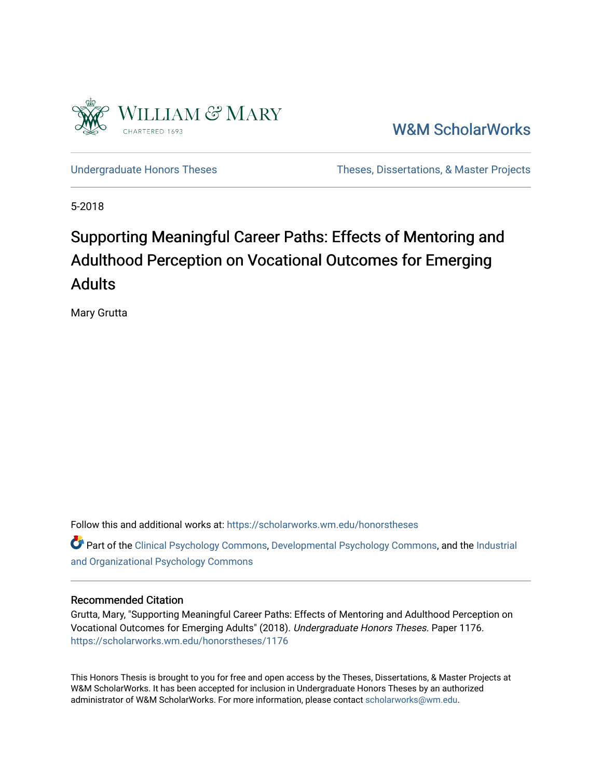

[W&M ScholarWorks](https://scholarworks.wm.edu/) 

[Undergraduate Honors Theses](https://scholarworks.wm.edu/honorstheses) Theses Theses, Dissertations, & Master Projects

5-2018

# Supporting Meaningful Career Paths: Effects of Mentoring and Adulthood Perception on Vocational Outcomes for Emerging Adults

Mary Grutta

Follow this and additional works at: [https://scholarworks.wm.edu/honorstheses](https://scholarworks.wm.edu/honorstheses?utm_source=scholarworks.wm.edu%2Fhonorstheses%2F1176&utm_medium=PDF&utm_campaign=PDFCoverPages) 

Part of the [Clinical Psychology Commons,](http://network.bepress.com/hgg/discipline/406?utm_source=scholarworks.wm.edu%2Fhonorstheses%2F1176&utm_medium=PDF&utm_campaign=PDFCoverPages) [Developmental Psychology Commons,](http://network.bepress.com/hgg/discipline/410?utm_source=scholarworks.wm.edu%2Fhonorstheses%2F1176&utm_medium=PDF&utm_campaign=PDFCoverPages) and the [Industrial](http://network.bepress.com/hgg/discipline/412?utm_source=scholarworks.wm.edu%2Fhonorstheses%2F1176&utm_medium=PDF&utm_campaign=PDFCoverPages) [and Organizational Psychology Commons](http://network.bepress.com/hgg/discipline/412?utm_source=scholarworks.wm.edu%2Fhonorstheses%2F1176&utm_medium=PDF&utm_campaign=PDFCoverPages) 

## Recommended Citation

Grutta, Mary, "Supporting Meaningful Career Paths: Effects of Mentoring and Adulthood Perception on Vocational Outcomes for Emerging Adults" (2018). Undergraduate Honors Theses. Paper 1176. [https://scholarworks.wm.edu/honorstheses/1176](https://scholarworks.wm.edu/honorstheses/1176?utm_source=scholarworks.wm.edu%2Fhonorstheses%2F1176&utm_medium=PDF&utm_campaign=PDFCoverPages)

This Honors Thesis is brought to you for free and open access by the Theses, Dissertations, & Master Projects at W&M ScholarWorks. It has been accepted for inclusion in Undergraduate Honors Theses by an authorized administrator of W&M ScholarWorks. For more information, please contact [scholarworks@wm.edu.](mailto:scholarworks@wm.edu)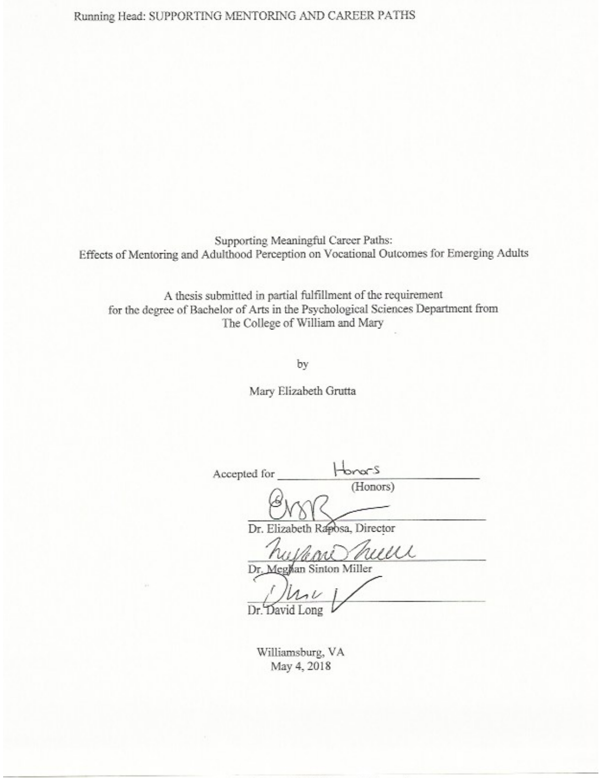Running Head: SUPPORTING MENTORING AND CAREER PATHS

Supporting Meaningful Career Paths: Effects of Mentoring and Adulthood Perception on Vocational Outcomes for Emerging Adults

A thesis submitted in partial fulfillment of the requirement for the degree of Bachelor of Arts in the Psychological Sciences Department from The College of William and Mary

by

Mary Elizabeth Grutta

Honors Accepted for (Honors) Dr. Eliza Posa, Director Dr. an Sinton M Dr David ong

Williamsburg, VA May 4, 2018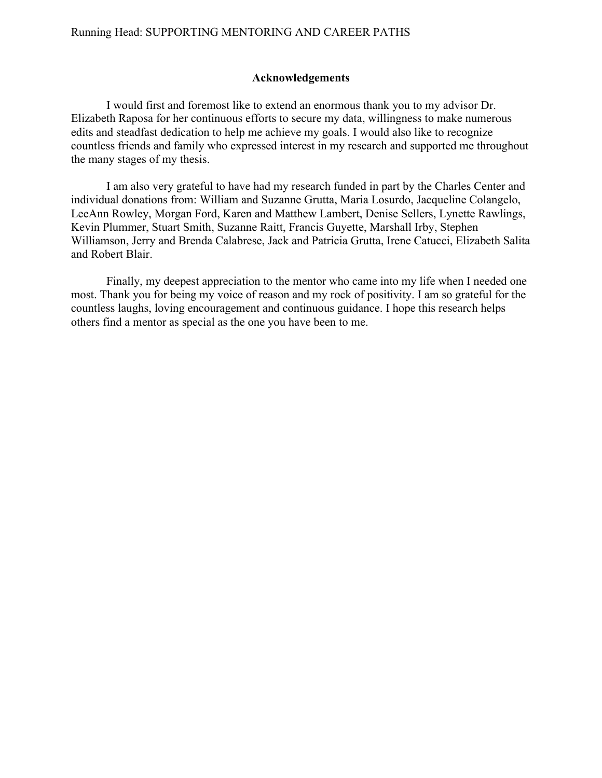# **Acknowledgements**

I would first and foremost like to extend an enormous thank you to my advisor Dr. Elizabeth Raposa for her continuous efforts to secure my data, willingness to make numerous edits and steadfast dedication to help me achieve my goals. I would also like to recognize countless friends and family who expressed interest in my research and supported me throughout the many stages of my thesis.

I am also very grateful to have had my research funded in part by the Charles Center and individual donations from: William and Suzanne Grutta, Maria Losurdo, Jacqueline Colangelo, LeeAnn Rowley, Morgan Ford, Karen and Matthew Lambert, Denise Sellers, Lynette Rawlings, Kevin Plummer, Stuart Smith, Suzanne Raitt, Francis Guyette, Marshall Irby, Stephen Williamson, Jerry and Brenda Calabrese, Jack and Patricia Grutta, Irene Catucci, Elizabeth Salita and Robert Blair.

Finally, my deepest appreciation to the mentor who came into my life when I needed one most. Thank you for being my voice of reason and my rock of positivity. I am so grateful for the countless laughs, loving encouragement and continuous guidance. I hope this research helps others find a mentor as special as the one you have been to me.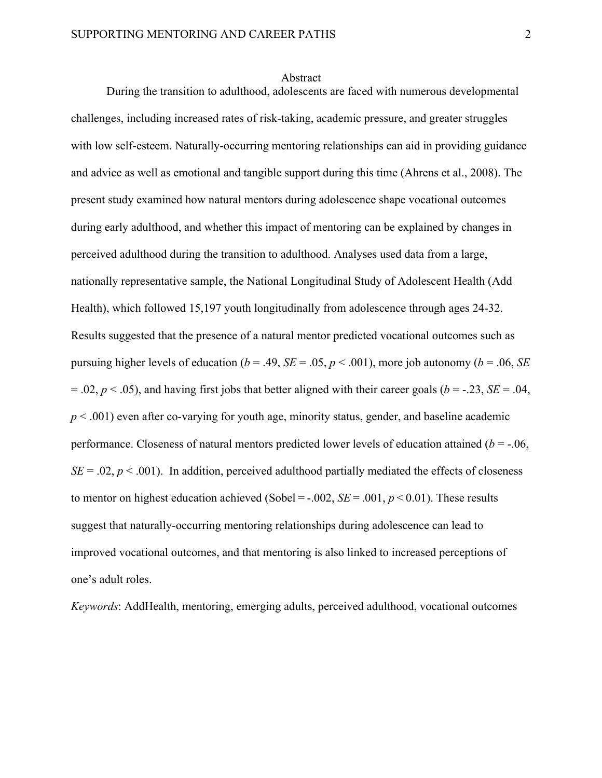#### Abstract

During the transition to adulthood, adolescents are faced with numerous developmental challenges, including increased rates of risk-taking, academic pressure, and greater struggles with low self-esteem. Naturally-occurring mentoring relationships can aid in providing guidance and advice as well as emotional and tangible support during this time (Ahrens et al., 2008). The present study examined how natural mentors during adolescence shape vocational outcomes during early adulthood, and whether this impact of mentoring can be explained by changes in perceived adulthood during the transition to adulthood. Analyses used data from a large, nationally representative sample, the National Longitudinal Study of Adolescent Health (Add Health), which followed 15,197 youth longitudinally from adolescence through ages 24-32. Results suggested that the presence of a natural mentor predicted vocational outcomes such as pursuing higher levels of education ( $b = .49$ ,  $SE = .05$ ,  $p < .001$ ), more job autonomy ( $b = .06$ , *SE*)  $= .02, p < .05$ ), and having first jobs that better aligned with their career goals ( $b = .23, SE = .04$ ,  $p \leq 0.001$ ) even after co-varying for youth age, minority status, gender, and baseline academic performance. Closeness of natural mentors predicted lower levels of education attained  $(b = -0.06)$ ,  $SE = .02$ ,  $p < .001$ ). In addition, perceived adulthood partially mediated the effects of closeness to mentor on highest education achieved (Sobel =  $-.002$ , *SE* = .001, *p* < 0.01). These results suggest that naturally-occurring mentoring relationships during adolescence can lead to improved vocational outcomes, and that mentoring is also linked to increased perceptions of one's adult roles.

*Keywords*: AddHealth, mentoring, emerging adults, perceived adulthood, vocational outcomes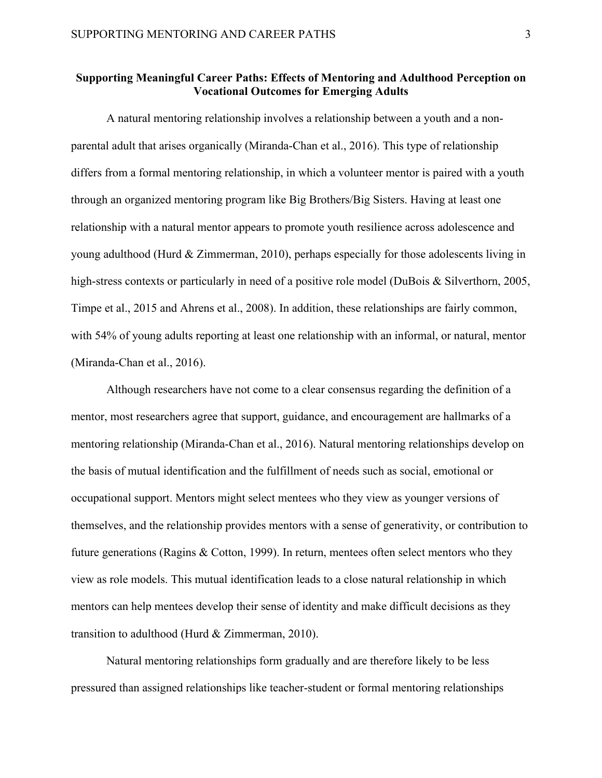# **Supporting Meaningful Career Paths: Effects of Mentoring and Adulthood Perception on Vocational Outcomes for Emerging Adults**

A natural mentoring relationship involves a relationship between a youth and a nonparental adult that arises organically (Miranda-Chan et al., 2016). This type of relationship differs from a formal mentoring relationship, in which a volunteer mentor is paired with a youth through an organized mentoring program like Big Brothers/Big Sisters. Having at least one relationship with a natural mentor appears to promote youth resilience across adolescence and young adulthood (Hurd & Zimmerman, 2010), perhaps especially for those adolescents living in high-stress contexts or particularly in need of a positive role model (DuBois & Silverthorn, 2005, Timpe et al., 2015 and Ahrens et al., 2008). In addition, these relationships are fairly common, with 54% of young adults reporting at least one relationship with an informal, or natural, mentor (Miranda-Chan et al., 2016).

Although researchers have not come to a clear consensus regarding the definition of a mentor, most researchers agree that support, guidance, and encouragement are hallmarks of a mentoring relationship (Miranda-Chan et al., 2016). Natural mentoring relationships develop on the basis of mutual identification and the fulfillment of needs such as social, emotional or occupational support. Mentors might select mentees who they view as younger versions of themselves, and the relationship provides mentors with a sense of generativity, or contribution to future generations (Ragins & Cotton, 1999). In return, mentees often select mentors who they view as role models. This mutual identification leads to a close natural relationship in which mentors can help mentees develop their sense of identity and make difficult decisions as they transition to adulthood (Hurd & Zimmerman, 2010).

Natural mentoring relationships form gradually and are therefore likely to be less pressured than assigned relationships like teacher-student or formal mentoring relationships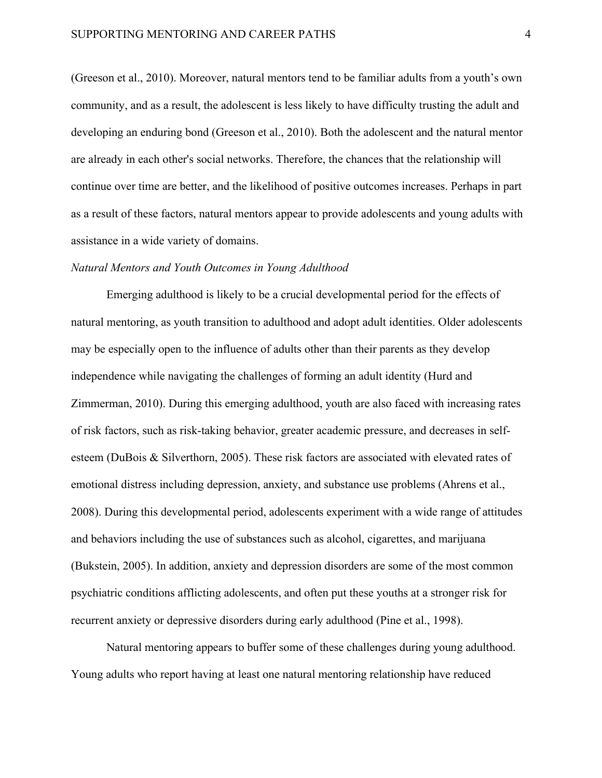(Greeson et al., 2010). Moreover, natural mentors tend to be familiar adults from a youth's own community, and as a result, the adolescent is less likely to have difficulty trusting the adult and developing an enduring bond (Greeson et al., 2010). Both the adolescent and the natural mentor are already in each other's social networks. Therefore, the chances that the relationship will continue over time are better, and the likelihood of positive outcomes increases. Perhaps in part as a result of these factors, natural mentors appear to provide adolescents and young adults with assistance in a wide variety of domains.

# *Natural Mentors and Youth Outcomes in Young Adulthood*

Emerging adulthood is likely to be a crucial developmental period for the effects of natural mentoring, as youth transition to adulthood and adopt adult identities. Older adolescents may be especially open to the influence of adults other than their parents as they develop independence while navigating the challenges of forming an adult identity (Hurd and Zimmerman, 2010). During this emerging adulthood, youth are also faced with increasing rates of risk factors, such as risk-taking behavior, greater academic pressure, and decreases in selfesteem (DuBois & Silverthorn, 2005). These risk factors are associated with elevated rates of emotional distress including depression, anxiety, and substance use problems (Ahrens et al., 2008). During this developmental period, adolescents experiment with a wide range of attitudes and behaviors including the use of substances such as alcohol, cigarettes, and marijuana (Bukstein, 2005). In addition, anxiety and depression disorders are some of the most common psychiatric conditions afflicting adolescents, and often put these youths at a stronger risk for recurrent anxiety or depressive disorders during early adulthood (Pine et al., 1998).

Natural mentoring appears to buffer some of these challenges during young adulthood. Young adults who report having at least one natural mentoring relationship have reduced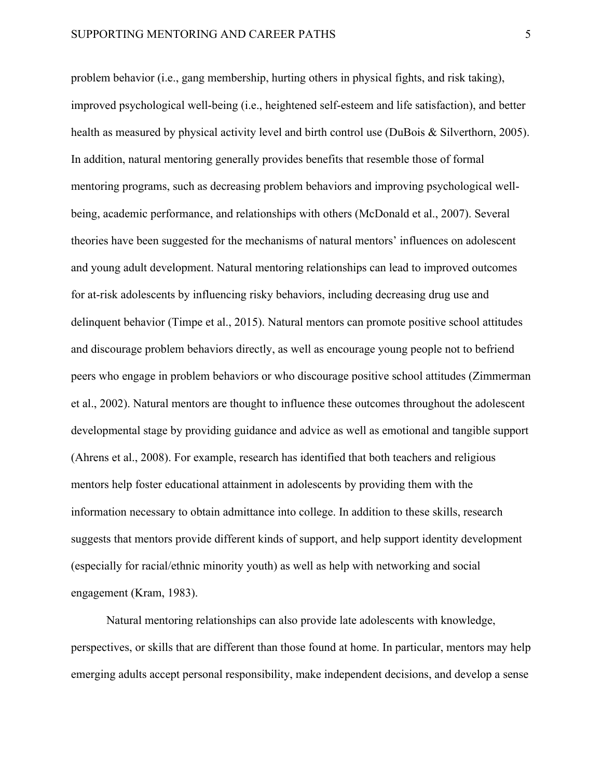problem behavior (i.e., gang membership, hurting others in physical fights, and risk taking), improved psychological well-being (i.e., heightened self-esteem and life satisfaction), and better health as measured by physical activity level and birth control use (DuBois & Silverthorn, 2005). In addition, natural mentoring generally provides benefits that resemble those of formal mentoring programs, such as decreasing problem behaviors and improving psychological wellbeing, academic performance, and relationships with others (McDonald et al., 2007). Several theories have been suggested for the mechanisms of natural mentors' influences on adolescent and young adult development. Natural mentoring relationships can lead to improved outcomes for at-risk adolescents by influencing risky behaviors, including decreasing drug use and delinquent behavior (Timpe et al., 2015). Natural mentors can promote positive school attitudes and discourage problem behaviors directly, as well as encourage young people not to befriend peers who engage in problem behaviors or who discourage positive school attitudes (Zimmerman et al., 2002). Natural mentors are thought to influence these outcomes throughout the adolescent developmental stage by providing guidance and advice as well as emotional and tangible support (Ahrens et al., 2008). For example, research has identified that both teachers and religious mentors help foster educational attainment in adolescents by providing them with the information necessary to obtain admittance into college. In addition to these skills, research suggests that mentors provide different kinds of support, and help support identity development (especially for racial/ethnic minority youth) as well as help with networking and social engagement (Kram, 1983).

Natural mentoring relationships can also provide late adolescents with knowledge, perspectives, or skills that are different than those found at home. In particular, mentors may help emerging adults accept personal responsibility, make independent decisions, and develop a sense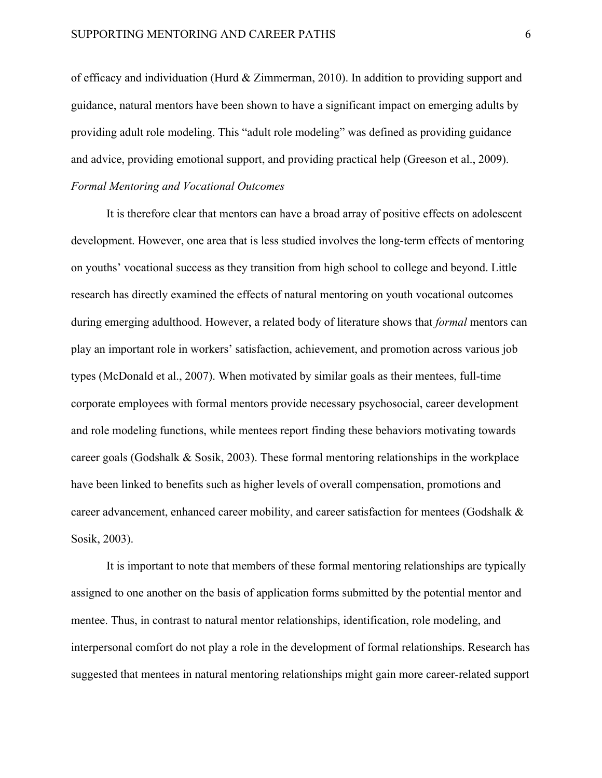of efficacy and individuation (Hurd & Zimmerman, 2010). In addition to providing support and guidance, natural mentors have been shown to have a significant impact on emerging adults by providing adult role modeling. This "adult role modeling" was defined as providing guidance and advice, providing emotional support, and providing practical help (Greeson et al., 2009).

# *Formal Mentoring and Vocational Outcomes*

It is therefore clear that mentors can have a broad array of positive effects on adolescent development. However, one area that is less studied involves the long-term effects of mentoring on youths' vocational success as they transition from high school to college and beyond. Little research has directly examined the effects of natural mentoring on youth vocational outcomes during emerging adulthood. However, a related body of literature shows that *formal* mentors can play an important role in workers' satisfaction, achievement, and promotion across various job types (McDonald et al., 2007). When motivated by similar goals as their mentees, full-time corporate employees with formal mentors provide necessary psychosocial, career development and role modeling functions, while mentees report finding these behaviors motivating towards career goals (Godshalk & Sosik, 2003). These formal mentoring relationships in the workplace have been linked to benefits such as higher levels of overall compensation, promotions and career advancement, enhanced career mobility, and career satisfaction for mentees (Godshalk & Sosik, 2003).

It is important to note that members of these formal mentoring relationships are typically assigned to one another on the basis of application forms submitted by the potential mentor and mentee. Thus, in contrast to natural mentor relationships, identification, role modeling, and interpersonal comfort do not play a role in the development of formal relationships. Research has suggested that mentees in natural mentoring relationships might gain more career-related support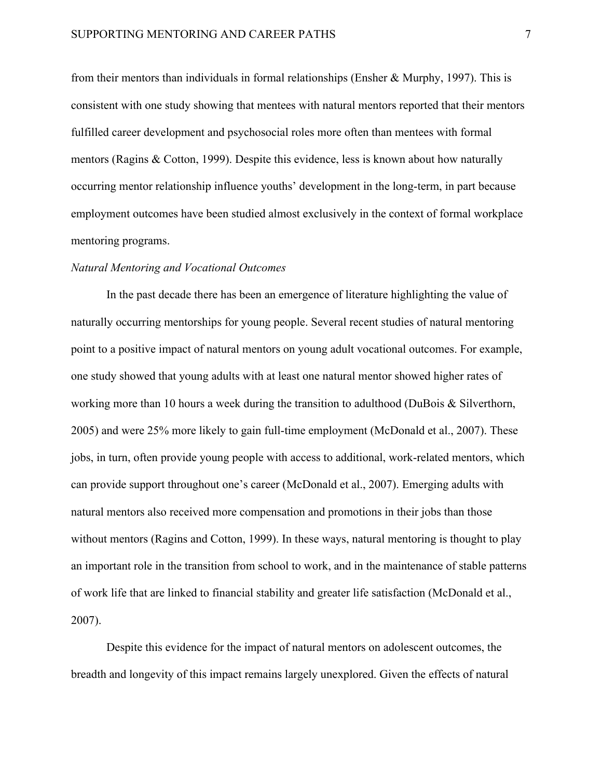from their mentors than individuals in formal relationships (Ensher & Murphy, 1997). This is consistent with one study showing that mentees with natural mentors reported that their mentors fulfilled career development and psychosocial roles more often than mentees with formal mentors (Ragins & Cotton, 1999). Despite this evidence, less is known about how naturally occurring mentor relationship influence youths' development in the long-term, in part because employment outcomes have been studied almost exclusively in the context of formal workplace mentoring programs.

## *Natural Mentoring and Vocational Outcomes*

In the past decade there has been an emergence of literature highlighting the value of naturally occurring mentorships for young people. Several recent studies of natural mentoring point to a positive impact of natural mentors on young adult vocational outcomes. For example, one study showed that young adults with at least one natural mentor showed higher rates of working more than 10 hours a week during the transition to adulthood (DuBois & Silverthorn, 2005) and were 25% more likely to gain full-time employment (McDonald et al., 2007). These jobs, in turn, often provide young people with access to additional, work-related mentors, which can provide support throughout one's career (McDonald et al., 2007). Emerging adults with natural mentors also received more compensation and promotions in their jobs than those without mentors (Ragins and Cotton, 1999). In these ways, natural mentoring is thought to play an important role in the transition from school to work, and in the maintenance of stable patterns of work life that are linked to financial stability and greater life satisfaction (McDonald et al., 2007).

Despite this evidence for the impact of natural mentors on adolescent outcomes, the breadth and longevity of this impact remains largely unexplored. Given the effects of natural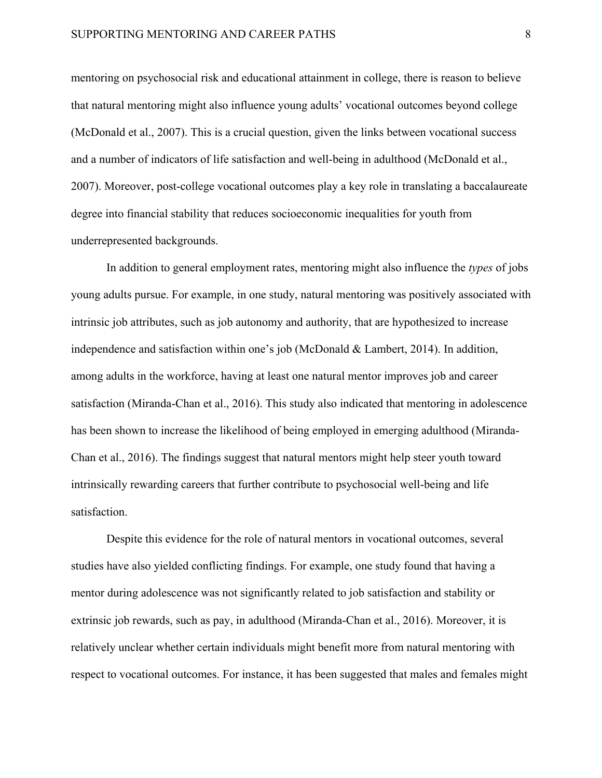mentoring on psychosocial risk and educational attainment in college, there is reason to believe that natural mentoring might also influence young adults' vocational outcomes beyond college (McDonald et al., 2007). This is a crucial question, given the links between vocational success and a number of indicators of life satisfaction and well-being in adulthood (McDonald et al., 2007). Moreover, post-college vocational outcomes play a key role in translating a baccalaureate degree into financial stability that reduces socioeconomic inequalities for youth from underrepresented backgrounds.

In addition to general employment rates, mentoring might also influence the *types* of jobs young adults pursue. For example, in one study, natural mentoring was positively associated with intrinsic job attributes, such as job autonomy and authority, that are hypothesized to increase independence and satisfaction within one's job (McDonald & Lambert, 2014). In addition, among adults in the workforce, having at least one natural mentor improves job and career satisfaction (Miranda-Chan et al., 2016). This study also indicated that mentoring in adolescence has been shown to increase the likelihood of being employed in emerging adulthood (Miranda-Chan et al., 2016). The findings suggest that natural mentors might help steer youth toward intrinsically rewarding careers that further contribute to psychosocial well-being and life satisfaction.

Despite this evidence for the role of natural mentors in vocational outcomes, several studies have also yielded conflicting findings. For example, one study found that having a mentor during adolescence was not significantly related to job satisfaction and stability or extrinsic job rewards, such as pay, in adulthood (Miranda-Chan et al., 2016). Moreover, it is relatively unclear whether certain individuals might benefit more from natural mentoring with respect to vocational outcomes. For instance, it has been suggested that males and females might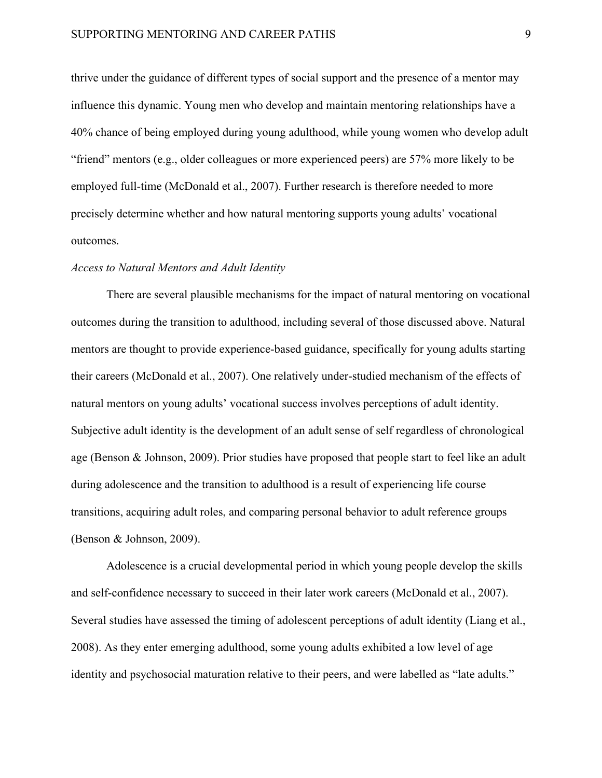thrive under the guidance of different types of social support and the presence of a mentor may influence this dynamic. Young men who develop and maintain mentoring relationships have a 40% chance of being employed during young adulthood, while young women who develop adult "friend" mentors (e.g., older colleagues or more experienced peers) are 57% more likely to be employed full-time (McDonald et al., 2007). Further research is therefore needed to more precisely determine whether and how natural mentoring supports young adults' vocational outcomes.

## *Access to Natural Mentors and Adult Identity*

There are several plausible mechanisms for the impact of natural mentoring on vocational outcomes during the transition to adulthood, including several of those discussed above. Natural mentors are thought to provide experience-based guidance, specifically for young adults starting their careers (McDonald et al., 2007). One relatively under-studied mechanism of the effects of natural mentors on young adults' vocational success involves perceptions of adult identity. Subjective adult identity is the development of an adult sense of self regardless of chronological age (Benson & Johnson, 2009). Prior studies have proposed that people start to feel like an adult during adolescence and the transition to adulthood is a result of experiencing life course transitions, acquiring adult roles, and comparing personal behavior to adult reference groups (Benson & Johnson, 2009).

Adolescence is a crucial developmental period in which young people develop the skills and self-confidence necessary to succeed in their later work careers (McDonald et al., 2007). Several studies have assessed the timing of adolescent perceptions of adult identity (Liang et al., 2008). As they enter emerging adulthood, some young adults exhibited a low level of age identity and psychosocial maturation relative to their peers, and were labelled as "late adults."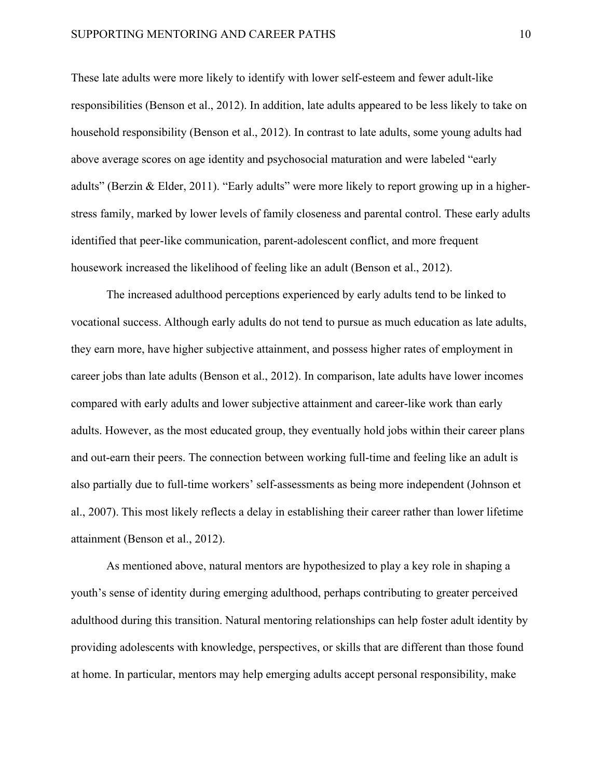These late adults were more likely to identify with lower self-esteem and fewer adult-like responsibilities (Benson et al., 2012). In addition, late adults appeared to be less likely to take on household responsibility (Benson et al., 2012). In contrast to late adults, some young adults had above average scores on age identity and psychosocial maturation and were labeled "early adults" (Berzin & Elder, 2011). "Early adults" were more likely to report growing up in a higherstress family, marked by lower levels of family closeness and parental control. These early adults identified that peer-like communication, parent-adolescent conflict, and more frequent housework increased the likelihood of feeling like an adult (Benson et al., 2012).

The increased adulthood perceptions experienced by early adults tend to be linked to vocational success. Although early adults do not tend to pursue as much education as late adults, they earn more, have higher subjective attainment, and possess higher rates of employment in career jobs than late adults (Benson et al., 2012). In comparison, late adults have lower incomes compared with early adults and lower subjective attainment and career-like work than early adults. However, as the most educated group, they eventually hold jobs within their career plans and out-earn their peers. The connection between working full-time and feeling like an adult is also partially due to full-time workers' self-assessments as being more independent (Johnson et al., 2007). This most likely reflects a delay in establishing their career rather than lower lifetime attainment (Benson et al., 2012).

As mentioned above, natural mentors are hypothesized to play a key role in shaping a youth's sense of identity during emerging adulthood, perhaps contributing to greater perceived adulthood during this transition. Natural mentoring relationships can help foster adult identity by providing adolescents with knowledge, perspectives, or skills that are different than those found at home. In particular, mentors may help emerging adults accept personal responsibility, make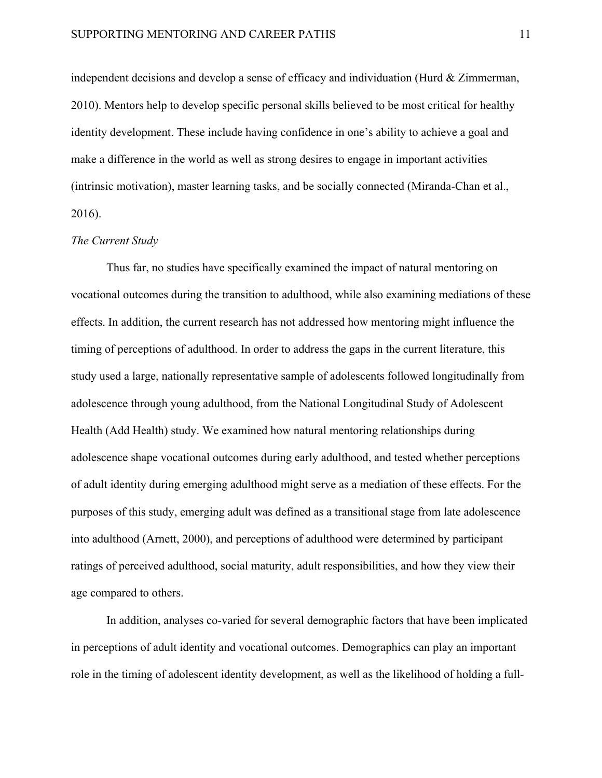independent decisions and develop a sense of efficacy and individuation (Hurd & Zimmerman, 2010). Mentors help to develop specific personal skills believed to be most critical for healthy identity development. These include having confidence in one's ability to achieve a goal and make a difference in the world as well as strong desires to engage in important activities (intrinsic motivation), master learning tasks, and be socially connected (Miranda-Chan et al., 2016).

## *The Current Study*

Thus far, no studies have specifically examined the impact of natural mentoring on vocational outcomes during the transition to adulthood, while also examining mediations of these effects. In addition, the current research has not addressed how mentoring might influence the timing of perceptions of adulthood. In order to address the gaps in the current literature, this study used a large, nationally representative sample of adolescents followed longitudinally from adolescence through young adulthood, from the National Longitudinal Study of Adolescent Health (Add Health) study. We examined how natural mentoring relationships during adolescence shape vocational outcomes during early adulthood, and tested whether perceptions of adult identity during emerging adulthood might serve as a mediation of these effects. For the purposes of this study, emerging adult was defined as a transitional stage from late adolescence into adulthood (Arnett, 2000), and perceptions of adulthood were determined by participant ratings of perceived adulthood, social maturity, adult responsibilities, and how they view their age compared to others.

In addition, analyses co-varied for several demographic factors that have been implicated in perceptions of adult identity and vocational outcomes. Demographics can play an important role in the timing of adolescent identity development, as well as the likelihood of holding a full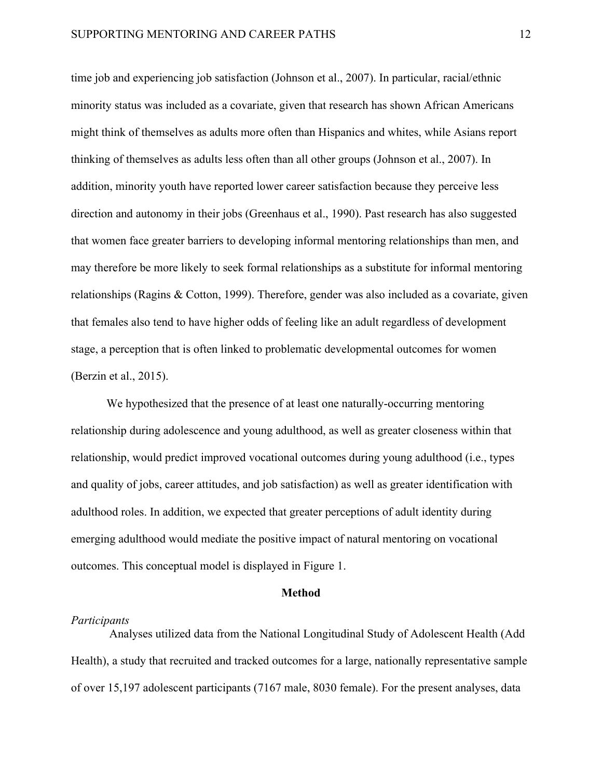time job and experiencing job satisfaction (Johnson et al., 2007). In particular, racial/ethnic minority status was included as a covariate, given that research has shown African Americans might think of themselves as adults more often than Hispanics and whites, while Asians report thinking of themselves as adults less often than all other groups (Johnson et al., 2007). In addition, minority youth have reported lower career satisfaction because they perceive less direction and autonomy in their jobs (Greenhaus et al., 1990). Past research has also suggested that women face greater barriers to developing informal mentoring relationships than men, and may therefore be more likely to seek formal relationships as a substitute for informal mentoring relationships (Ragins & Cotton, 1999). Therefore, gender was also included as a covariate, given that females also tend to have higher odds of feeling like an adult regardless of development stage, a perception that is often linked to problematic developmental outcomes for women (Berzin et al., 2015).

We hypothesized that the presence of at least one naturally-occurring mentoring relationship during adolescence and young adulthood, as well as greater closeness within that relationship, would predict improved vocational outcomes during young adulthood (i.e., types and quality of jobs, career attitudes, and job satisfaction) as well as greater identification with adulthood roles. In addition, we expected that greater perceptions of adult identity during emerging adulthood would mediate the positive impact of natural mentoring on vocational outcomes. This conceptual model is displayed in Figure 1.

#### **Method**

#### *Participants*

Analyses utilized data from the National Longitudinal Study of Adolescent Health (Add Health), a study that recruited and tracked outcomes for a large, nationally representative sample of over 15,197 adolescent participants (7167 male, 8030 female). For the present analyses, data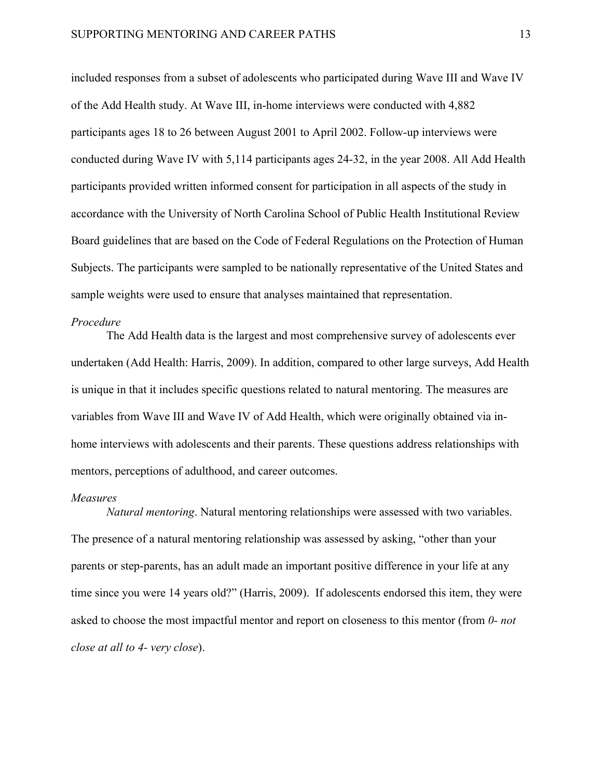included responses from a subset of adolescents who participated during Wave III and Wave IV of the Add Health study. At Wave III, in-home interviews were conducted with 4,882 participants ages 18 to 26 between August 2001 to April 2002. Follow-up interviews were conducted during Wave IV with 5,114 participants ages 24-32, in the year 2008. All Add Health participants provided written informed consent for participation in all aspects of the study in accordance with the University of North Carolina School of Public Health Institutional Review Board guidelines that are based on the Code of Federal Regulations on the Protection of Human Subjects. The participants were sampled to be nationally representative of the United States and sample weights were used to ensure that analyses maintained that representation.

## *Procedure*

The Add Health data is the largest and most comprehensive survey of adolescents ever undertaken (Add Health: Harris, 2009). In addition, compared to other large surveys, Add Health is unique in that it includes specific questions related to natural mentoring. The measures are variables from Wave III and Wave IV of Add Health, which were originally obtained via inhome interviews with adolescents and their parents. These questions address relationships with mentors, perceptions of adulthood, and career outcomes.

## *Measures*

*Natural mentoring*. Natural mentoring relationships were assessed with two variables. The presence of a natural mentoring relationship was assessed by asking, "other than your parents or step-parents, has an adult made an important positive difference in your life at any time since you were 14 years old?" (Harris, 2009). If adolescents endorsed this item, they were asked to choose the most impactful mentor and report on closeness to this mentor (from *0- not close at all to 4- very close*).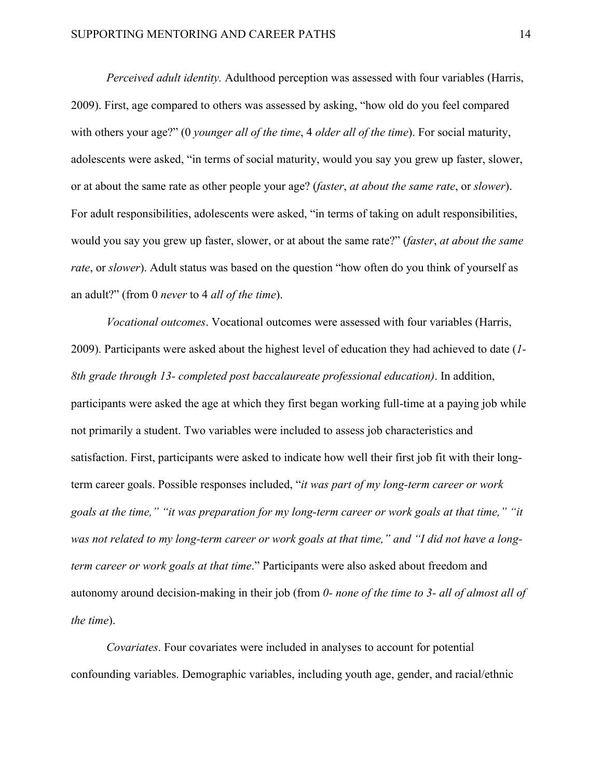*Perceived adult identity.* Adulthood perception was assessed with four variables (Harris, 2009). First, age compared to others was assessed by asking, "how old do you feel compared with others your age?" (0 *younger all of the time*, 4 *older all of the time*). For social maturity, adolescents were asked, "in terms of social maturity, would you say you grew up faster, slower, or at about the same rate as other people your age? (*faster*, *at about the same rate*, or *slower*). For adult responsibilities, adolescents were asked, "in terms of taking on adult responsibilities, would you say you grew up faster, slower, or at about the same rate?" (*faster*, *at about the same rate*, or *slower*). Adult status was based on the question "how often do you think of yourself as an adult?" (from 0 *never* to 4 *all of the time*).

*Vocational outcomes*. Vocational outcomes were assessed with four variables (Harris, 2009). Participants were asked about the highest level of education they had achieved to date (*1- 8th grade through 13- completed post baccalaureate professional education)*. In addition, participants were asked the age at which they first began working full-time at a paying job while not primarily a student. Two variables were included to assess job characteristics and satisfaction. First, participants were asked to indicate how well their first job fit with their longterm career goals. Possible responses included, "*it was part of my long-term career or work goals at the time," "it was preparation for my long-term career or work goals at that time," "it was not related to my long-term career or work goals at that time," and "I did not have a longterm career or work goals at that time*." Participants were also asked about freedom and autonomy around decision-making in their job (from *0- none of the time to 3- all of almost all of the time*).

*Covariates*. Four covariates were included in analyses to account for potential confounding variables. Demographic variables, including youth age, gender, and racial/ethnic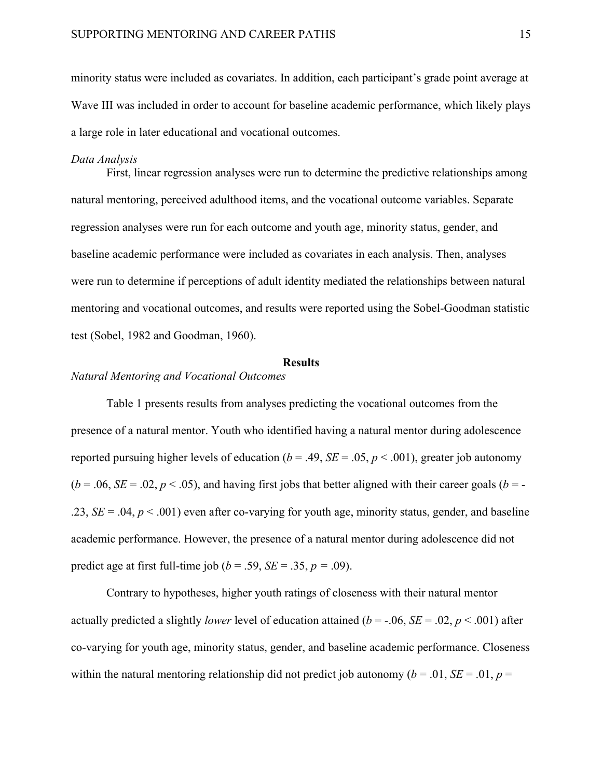minority status were included as covariates. In addition, each participant's grade point average at Wave III was included in order to account for baseline academic performance, which likely plays a large role in later educational and vocational outcomes.

### *Data Analysis*

First, linear regression analyses were run to determine the predictive relationships among natural mentoring, perceived adulthood items, and the vocational outcome variables. Separate regression analyses were run for each outcome and youth age, minority status, gender, and baseline academic performance were included as covariates in each analysis. Then, analyses were run to determine if perceptions of adult identity mediated the relationships between natural mentoring and vocational outcomes, and results were reported using the Sobel-Goodman statistic test (Sobel, 1982 and Goodman, 1960).

## **Results**

# *Natural Mentoring and Vocational Outcomes*

Table 1 presents results from analyses predicting the vocational outcomes from the presence of a natural mentor. Youth who identified having a natural mentor during adolescence reported pursuing higher levels of education ( $b = .49$ ,  $SE = .05$ ,  $p < .001$ ), greater job autonomy  $(b = .06, SE = .02, p < .05)$ , and having first jobs that better aligned with their career goals  $(b = -100, SE = .02, p < .05)$ .23,  $SE = .04$ ,  $p < .001$ ) even after co-varying for youth age, minority status, gender, and baseline academic performance. However, the presence of a natural mentor during adolescence did not predict age at first full-time job ( $b = .59$ ,  $SE = .35$ ,  $p = .09$ ).

Contrary to hypotheses, higher youth ratings of closeness with their natural mentor actually predicted a slightly *lower* level of education attained ( $b = -.06$ , *SE* = .02,  $p < .001$ ) after co-varying for youth age, minority status, gender, and baseline academic performance. Closeness within the natural mentoring relationship did not predict job autonomy ( $b = .01$ ,  $SE = .01$ ,  $p =$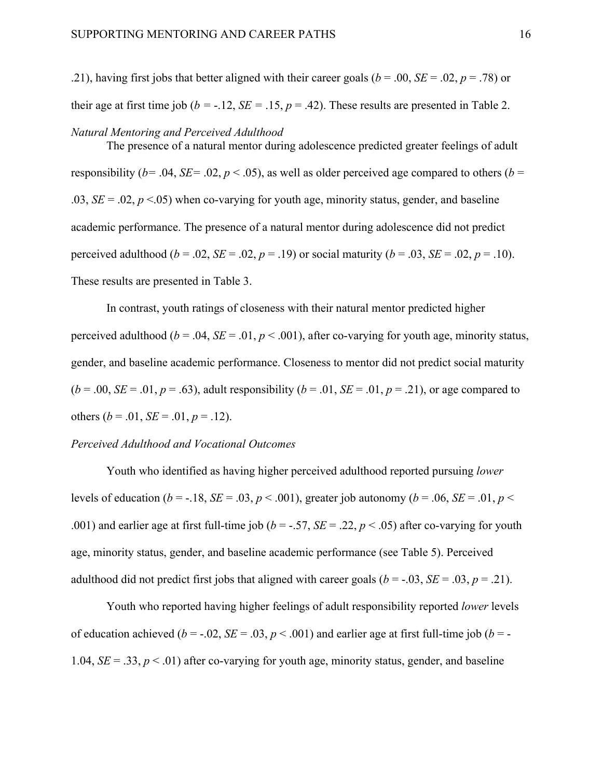.21), having first jobs that better aligned with their career goals ( $b = .00$ ,  $SE = .02$ ,  $p = .78$ ) or their age at first time job ( $b = -.12$ ,  $SE = .15$ ,  $p = .42$ ). These results are presented in Table 2.

#### *Natural Mentoring and Perceived Adulthood*

The presence of a natural mentor during adolescence predicted greater feelings of adult responsibility ( $b = .04$ ,  $SE = .02$ ,  $p < .05$ ), as well as older perceived age compared to others ( $b =$ .03,  $SE = .02$ ,  $p < .05$ ) when co-varying for youth age, minority status, gender, and baseline academic performance. The presence of a natural mentor during adolescence did not predict perceived adulthood ( $b = .02$ ,  $SE = .02$ ,  $p = .19$ ) or social maturity ( $b = .03$ ,  $SE = .02$ ,  $p = .10$ ). These results are presented in Table 3.

In contrast, youth ratings of closeness with their natural mentor predicted higher perceived adulthood ( $b = .04$ ,  $SE = .01$ ,  $p < .001$ ), after co-varying for youth age, minority status, gender, and baseline academic performance. Closeness to mentor did not predict social maturity  $(b = .00, SE = .01, p = .63)$ , adult responsibility  $(b = .01, SE = .01, p = .21)$ , or age compared to others  $(b = .01, SE = .01, p = .12)$ .

## *Perceived Adulthood and Vocational Outcomes*

Youth who identified as having higher perceived adulthood reported pursuing *lower* levels of education ( $b = -18$ ,  $SE = .03$ ,  $p < .001$ ), greater job autonomy ( $b = .06$ ,  $SE = .01$ ,  $p <$ .001) and earlier age at first full-time job ( $b = -.57$ ,  $SE = .22$ ,  $p < .05$ ) after co-varying for youth age, minority status, gender, and baseline academic performance (see Table 5). Perceived adulthood did not predict first jobs that aligned with career goals ( $b = -0.03$ ,  $SE = 0.03$ ,  $p = 0.21$ ).

Youth who reported having higher feelings of adult responsibility reported *lower* levels of education achieved ( $b = -0.02$ ,  $SE = 0.03$ ,  $p < 0.001$ ) and earlier age at first full-time job ( $b = -0.02$ 1.04,  $SE = 0.33$ ,  $p < 0.01$ ) after co-varying for youth age, minority status, gender, and baseline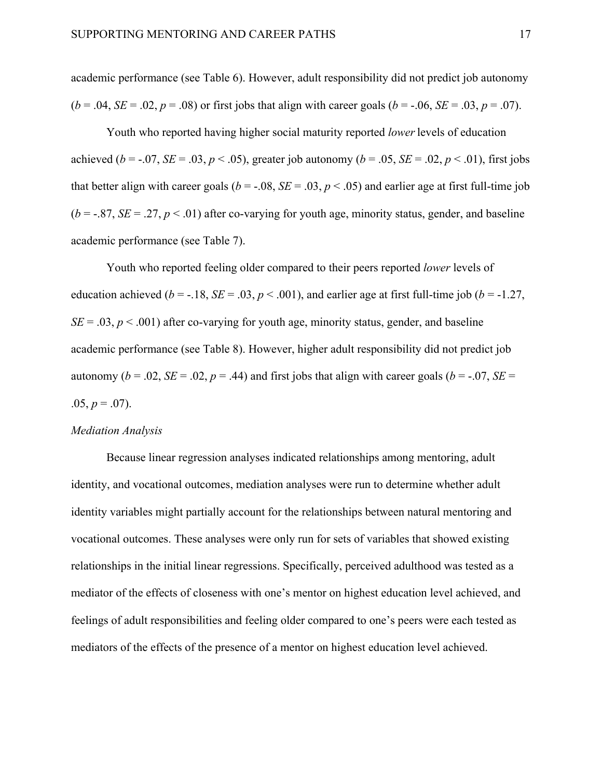academic performance (see Table 6). However, adult responsibility did not predict job autonomy  $(b = .04, SE = .02, p = .08)$  or first jobs that align with career goals  $(b = -.06, SE = .03, p = .07)$ .

Youth who reported having higher social maturity reported *lower*levels of education achieved ( $b = -0.07$ , *SE* = .03,  $p < .05$ ), greater job autonomy ( $b = .05$ , *SE* = .02,  $p < .01$ ), first jobs that better align with career goals ( $b = -.08$ ,  $SE = .03$ ,  $p < .05$ ) and earlier age at first full-time job  $(b = -0.87, SE = 0.27, p < 0.01)$  after co-varying for youth age, minority status, gender, and baseline academic performance (see Table 7).

Youth who reported feeling older compared to their peers reported *lower* levels of education achieved ( $b = -18$ ,  $SE = .03$ ,  $p < .001$ ), and earlier age at first full-time job ( $b = -1.27$ ,  $SE = .03$ ,  $p < .001$ ) after co-varying for youth age, minority status, gender, and baseline academic performance (see Table 8). However, higher adult responsibility did not predict job autonomy ( $b = .02$ ,  $SE = .02$ ,  $p = .44$ ) and first jobs that align with career goals ( $b = -.07$ ,  $SE =$ .05,  $p = .07$ ).

### *Mediation Analysis*

Because linear regression analyses indicated relationships among mentoring, adult identity, and vocational outcomes, mediation analyses were run to determine whether adult identity variables might partially account for the relationships between natural mentoring and vocational outcomes. These analyses were only run for sets of variables that showed existing relationships in the initial linear regressions. Specifically, perceived adulthood was tested as a mediator of the effects of closeness with one's mentor on highest education level achieved, and feelings of adult responsibilities and feeling older compared to one's peers were each tested as mediators of the effects of the presence of a mentor on highest education level achieved.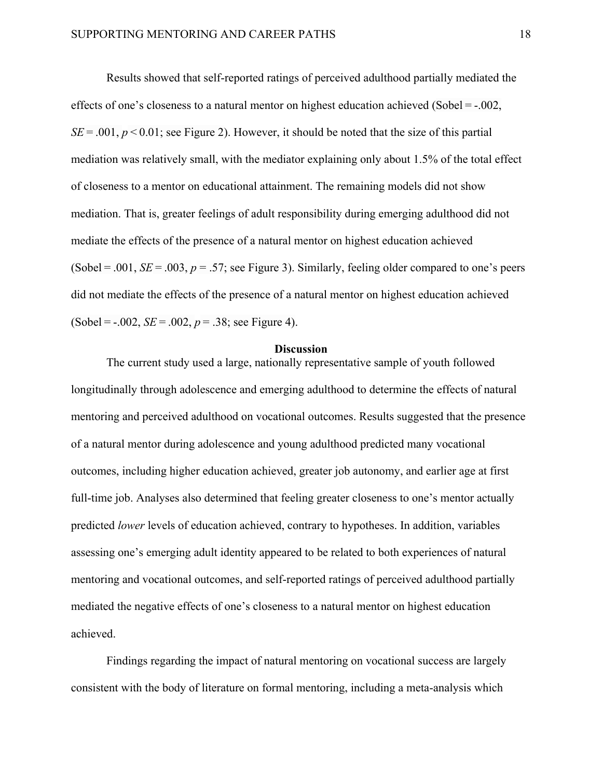Results showed that self-reported ratings of perceived adulthood partially mediated the effects of one's closeness to a natural mentor on highest education achieved (Sobel = -.002,  $SE = .001$ ,  $p < 0.01$ ; see Figure 2). However, it should be noted that the size of this partial mediation was relatively small, with the mediator explaining only about 1.5% of the total effect of closeness to a mentor on educational attainment. The remaining models did not show mediation. That is, greater feelings of adult responsibility during emerging adulthood did not mediate the effects of the presence of a natural mentor on highest education achieved (Sobel = .001,  $SE = .003$ ,  $p = .57$ ; see Figure 3). Similarly, feeling older compared to one's peers did not mediate the effects of the presence of a natural mentor on highest education achieved  $(Sobel = -.002, SE = .002, p = .38; see Figure 4).$ 

#### **Discussion**

The current study used a large, nationally representative sample of youth followed longitudinally through adolescence and emerging adulthood to determine the effects of natural mentoring and perceived adulthood on vocational outcomes. Results suggested that the presence of a natural mentor during adolescence and young adulthood predicted many vocational outcomes, including higher education achieved, greater job autonomy, and earlier age at first full-time job. Analyses also determined that feeling greater closeness to one's mentor actually predicted *lower* levels of education achieved, contrary to hypotheses. In addition, variables assessing one's emerging adult identity appeared to be related to both experiences of natural mentoring and vocational outcomes, and self-reported ratings of perceived adulthood partially mediated the negative effects of one's closeness to a natural mentor on highest education achieved.

Findings regarding the impact of natural mentoring on vocational success are largely consistent with the body of literature on formal mentoring, including a meta-analysis which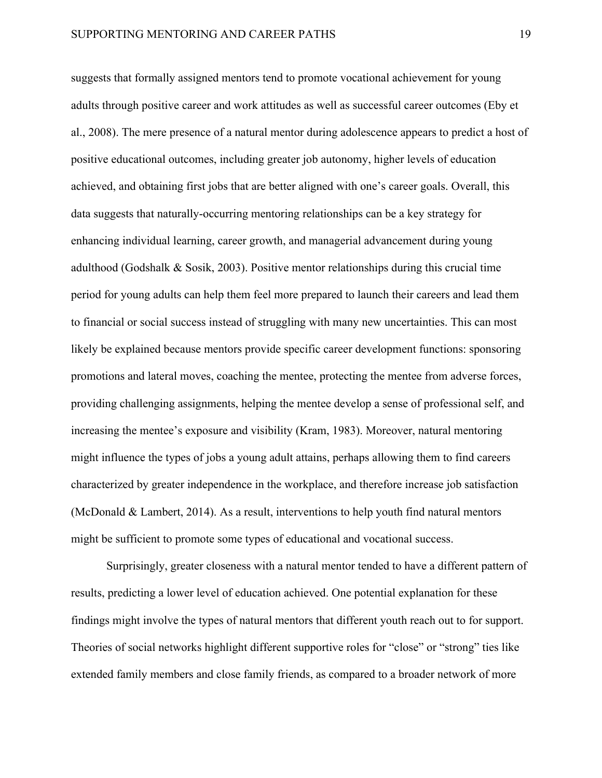suggests that formally assigned mentors tend to promote vocational achievement for young adults through positive career and work attitudes as well as successful career outcomes (Eby et al., 2008). The mere presence of a natural mentor during adolescence appears to predict a host of positive educational outcomes, including greater job autonomy, higher levels of education achieved, and obtaining first jobs that are better aligned with one's career goals. Overall, this data suggests that naturally-occurring mentoring relationships can be a key strategy for enhancing individual learning, career growth, and managerial advancement during young adulthood (Godshalk & Sosik, 2003). Positive mentor relationships during this crucial time period for young adults can help them feel more prepared to launch their careers and lead them to financial or social success instead of struggling with many new uncertainties. This can most likely be explained because mentors provide specific career development functions: sponsoring promotions and lateral moves, coaching the mentee, protecting the mentee from adverse forces, providing challenging assignments, helping the mentee develop a sense of professional self, and increasing the mentee's exposure and visibility (Kram, 1983). Moreover, natural mentoring might influence the types of jobs a young adult attains, perhaps allowing them to find careers characterized by greater independence in the workplace, and therefore increase job satisfaction (McDonald & Lambert, 2014). As a result, interventions to help youth find natural mentors might be sufficient to promote some types of educational and vocational success.

Surprisingly, greater closeness with a natural mentor tended to have a different pattern of results, predicting a lower level of education achieved. One potential explanation for these findings might involve the types of natural mentors that different youth reach out to for support. Theories of social networks highlight different supportive roles for "close" or "strong" ties like extended family members and close family friends, as compared to a broader network of more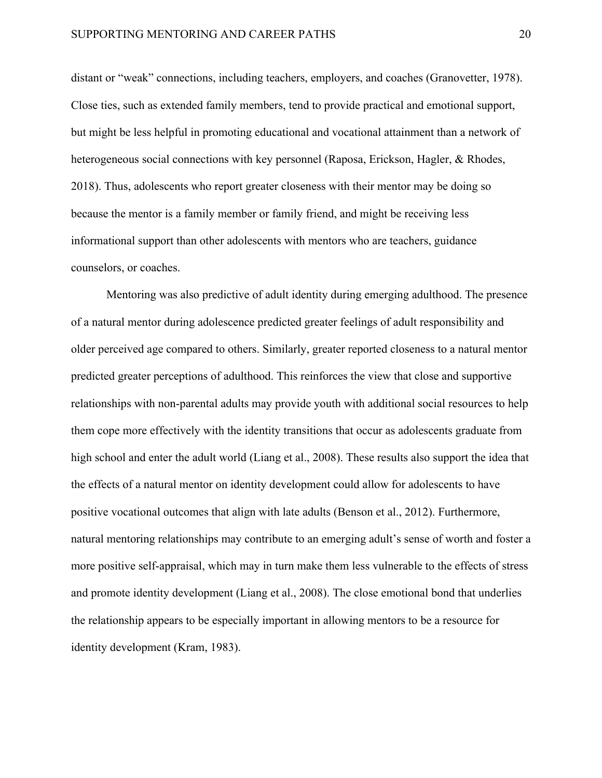distant or "weak" connections, including teachers, employers, and coaches (Granovetter, 1978). Close ties, such as extended family members, tend to provide practical and emotional support, but might be less helpful in promoting educational and vocational attainment than a network of heterogeneous social connections with key personnel (Raposa, Erickson, Hagler, & Rhodes, 2018). Thus, adolescents who report greater closeness with their mentor may be doing so because the mentor is a family member or family friend, and might be receiving less informational support than other adolescents with mentors who are teachers, guidance counselors, or coaches.

Mentoring was also predictive of adult identity during emerging adulthood. The presence of a natural mentor during adolescence predicted greater feelings of adult responsibility and older perceived age compared to others. Similarly, greater reported closeness to a natural mentor predicted greater perceptions of adulthood. This reinforces the view that close and supportive relationships with non-parental adults may provide youth with additional social resources to help them cope more effectively with the identity transitions that occur as adolescents graduate from high school and enter the adult world (Liang et al., 2008). These results also support the idea that the effects of a natural mentor on identity development could allow for adolescents to have positive vocational outcomes that align with late adults (Benson et al., 2012). Furthermore, natural mentoring relationships may contribute to an emerging adult's sense of worth and foster a more positive self-appraisal, which may in turn make them less vulnerable to the effects of stress and promote identity development (Liang et al., 2008). The close emotional bond that underlies the relationship appears to be especially important in allowing mentors to be a resource for identity development (Kram, 1983).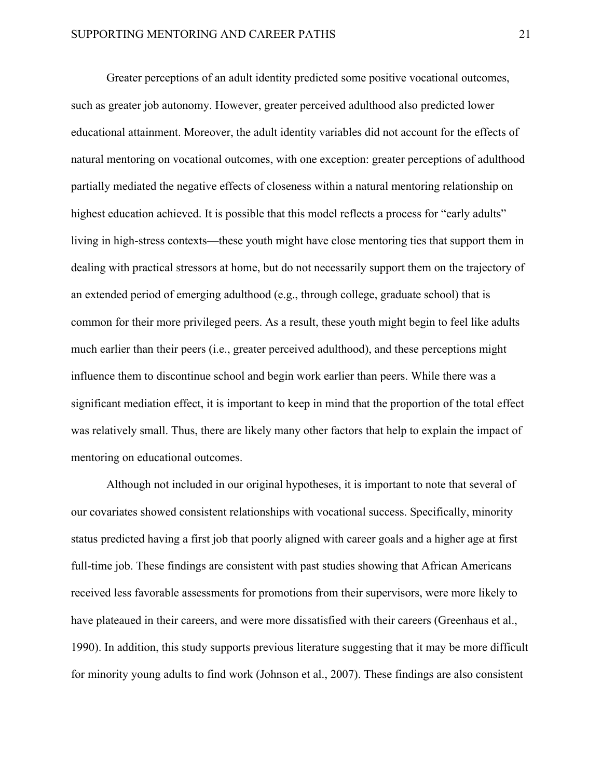Greater perceptions of an adult identity predicted some positive vocational outcomes, such as greater job autonomy. However, greater perceived adulthood also predicted lower educational attainment. Moreover, the adult identity variables did not account for the effects of natural mentoring on vocational outcomes, with one exception: greater perceptions of adulthood partially mediated the negative effects of closeness within a natural mentoring relationship on highest education achieved. It is possible that this model reflects a process for "early adults" living in high-stress contexts—these youth might have close mentoring ties that support them in dealing with practical stressors at home, but do not necessarily support them on the trajectory of an extended period of emerging adulthood (e.g., through college, graduate school) that is common for their more privileged peers. As a result, these youth might begin to feel like adults much earlier than their peers (i.e., greater perceived adulthood), and these perceptions might influence them to discontinue school and begin work earlier than peers. While there was a significant mediation effect, it is important to keep in mind that the proportion of the total effect was relatively small. Thus, there are likely many other factors that help to explain the impact of mentoring on educational outcomes.

Although not included in our original hypotheses, it is important to note that several of our covariates showed consistent relationships with vocational success. Specifically, minority status predicted having a first job that poorly aligned with career goals and a higher age at first full-time job. These findings are consistent with past studies showing that African Americans received less favorable assessments for promotions from their supervisors, were more likely to have plateaued in their careers, and were more dissatisfied with their careers (Greenhaus et al., 1990). In addition, this study supports previous literature suggesting that it may be more difficult for minority young adults to find work (Johnson et al., 2007). These findings are also consistent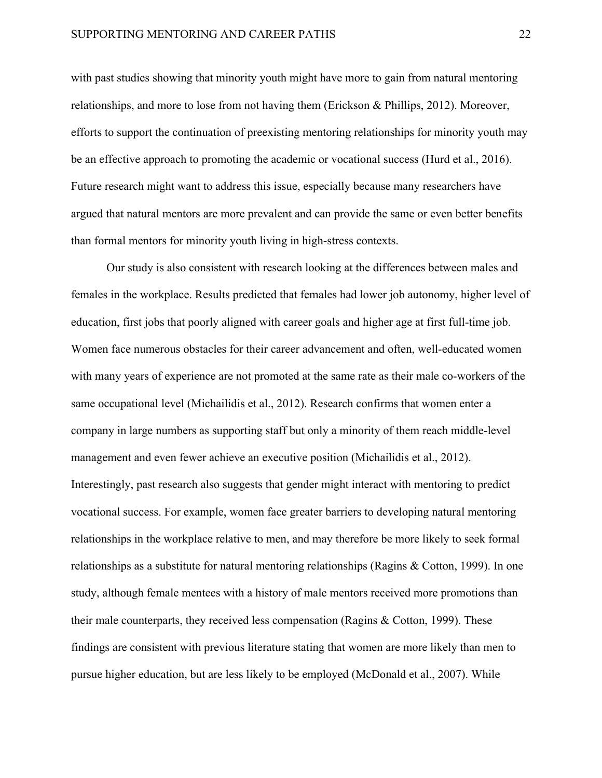with past studies showing that minority youth might have more to gain from natural mentoring relationships, and more to lose from not having them (Erickson & Phillips, 2012). Moreover, efforts to support the continuation of preexisting mentoring relationships for minority youth may be an effective approach to promoting the academic or vocational success (Hurd et al., 2016). Future research might want to address this issue, especially because many researchers have argued that natural mentors are more prevalent and can provide the same or even better benefits than formal mentors for minority youth living in high-stress contexts.

Our study is also consistent with research looking at the differences between males and females in the workplace. Results predicted that females had lower job autonomy, higher level of education, first jobs that poorly aligned with career goals and higher age at first full-time job. Women face numerous obstacles for their career advancement and often, well-educated women with many years of experience are not promoted at the same rate as their male co-workers of the same occupational level (Michailidis et al., 2012). Research confirms that women enter a company in large numbers as supporting staff but only a minority of them reach middle-level management and even fewer achieve an executive position (Michailidis et al., 2012). Interestingly, past research also suggests that gender might interact with mentoring to predict vocational success. For example, women face greater barriers to developing natural mentoring relationships in the workplace relative to men, and may therefore be more likely to seek formal relationships as a substitute for natural mentoring relationships (Ragins & Cotton, 1999). In one study, although female mentees with a history of male mentors received more promotions than their male counterparts, they received less compensation (Ragins & Cotton, 1999). These findings are consistent with previous literature stating that women are more likely than men to pursue higher education, but are less likely to be employed (McDonald et al., 2007). While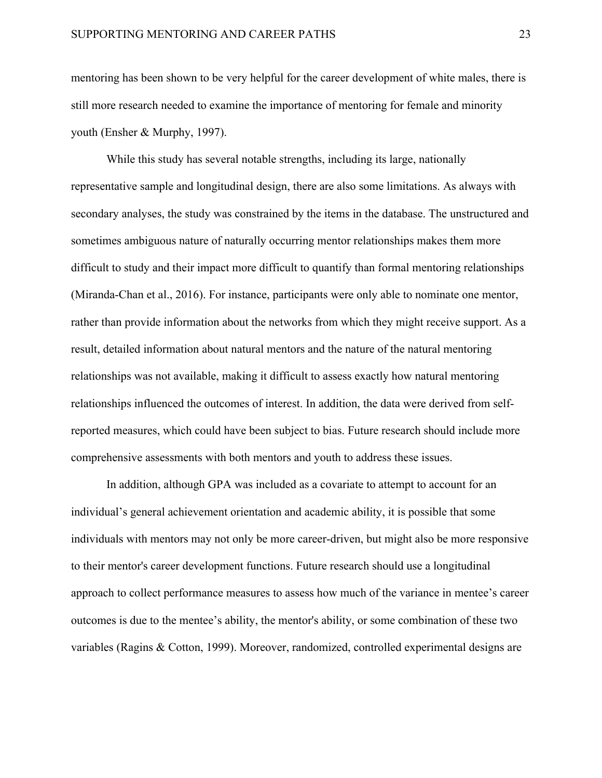mentoring has been shown to be very helpful for the career development of white males, there is still more research needed to examine the importance of mentoring for female and minority youth (Ensher & Murphy, 1997).

While this study has several notable strengths, including its large, nationally representative sample and longitudinal design, there are also some limitations. As always with secondary analyses, the study was constrained by the items in the database. The unstructured and sometimes ambiguous nature of naturally occurring mentor relationships makes them more difficult to study and their impact more difficult to quantify than formal mentoring relationships (Miranda-Chan et al., 2016). For instance, participants were only able to nominate one mentor, rather than provide information about the networks from which they might receive support. As a result, detailed information about natural mentors and the nature of the natural mentoring relationships was not available, making it difficult to assess exactly how natural mentoring relationships influenced the outcomes of interest. In addition, the data were derived from selfreported measures, which could have been subject to bias. Future research should include more comprehensive assessments with both mentors and youth to address these issues.

In addition, although GPA was included as a covariate to attempt to account for an individual's general achievement orientation and academic ability, it is possible that some individuals with mentors may not only be more career-driven, but might also be more responsive to their mentor's career development functions. Future research should use a longitudinal approach to collect performance measures to assess how much of the variance in mentee's career outcomes is due to the mentee's ability, the mentor's ability, or some combination of these two variables (Ragins & Cotton, 1999). Moreover, randomized, controlled experimental designs are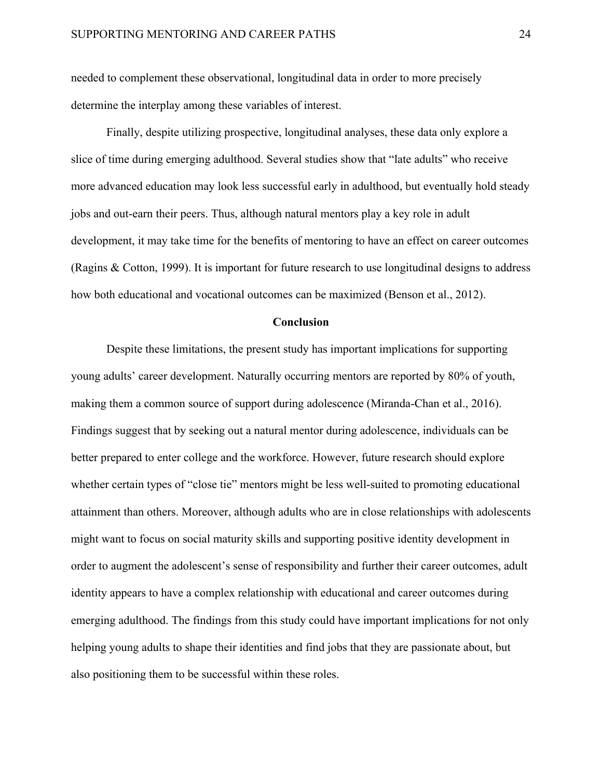needed to complement these observational, longitudinal data in order to more precisely determine the interplay among these variables of interest.

Finally, despite utilizing prospective, longitudinal analyses, these data only explore a slice of time during emerging adulthood. Several studies show that "late adults" who receive more advanced education may look less successful early in adulthood, but eventually hold steady jobs and out-earn their peers. Thus, although natural mentors play a key role in adult development, it may take time for the benefits of mentoring to have an effect on career outcomes (Ragins & Cotton, 1999). It is important for future research to use longitudinal designs to address how both educational and vocational outcomes can be maximized (Benson et al., 2012).

## **Conclusion**

Despite these limitations, the present study has important implications for supporting young adults' career development. Naturally occurring mentors are reported by 80% of youth, making them a common source of support during adolescence (Miranda-Chan et al., 2016). Findings suggest that by seeking out a natural mentor during adolescence, individuals can be better prepared to enter college and the workforce. However, future research should explore whether certain types of "close tie" mentors might be less well-suited to promoting educational attainment than others. Moreover, although adults who are in close relationships with adolescents might want to focus on social maturity skills and supporting positive identity development in order to augment the adolescent's sense of responsibility and further their career outcomes, adult identity appears to have a complex relationship with educational and career outcomes during emerging adulthood. The findings from this study could have important implications for not only helping young adults to shape their identities and find jobs that they are passionate about, but also positioning them to be successful within these roles.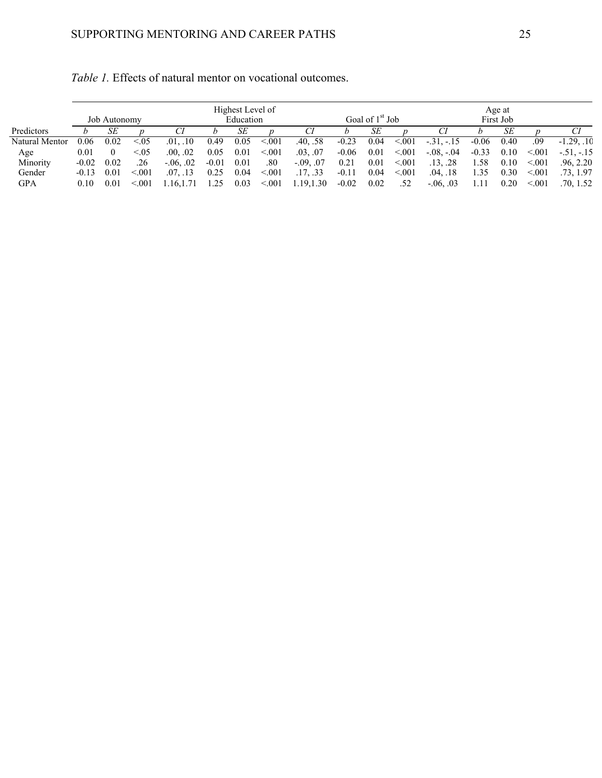|                |         | <b>Job Autonomy</b> |         |               | Highest Level of<br>Age at<br>Goal of $1st$ Job<br>First Job<br>Education |      |        |             |         |      |        |                |         |      |        |              |
|----------------|---------|---------------------|---------|---------------|---------------------------------------------------------------------------|------|--------|-------------|---------|------|--------|----------------|---------|------|--------|--------------|
| Predictors     |         | SЕ                  |         |               |                                                                           | SЕ   |        |             |         | SЕ   |        |                |         | SE   |        |              |
| Natural Mentor | 0.06    | 0.02                | < 0.05  | .01, .10      | 0.49                                                                      | 0.05 | < 0.01 | .40, .58    | $-0.23$ | 0.04 | < 0.01 | $-31, -15$     | $-0.06$ | 0.40 | .09    | $-1.29.10$   |
| Age            | 0.01    |                     | ${<}05$ | .00, .02      | 0.05                                                                      | 0.01 | < 0.01 | .03, .07    | $-0.06$ | 0.01 | < 0.01 | $-0.08 - 0.04$ | $-0.33$ | 0.10 | < 0.01 | $-.51, -.15$ |
| Minority       | $-0.02$ | 0.02                | .26     | $-0.06, 0.02$ | $-0.01$                                                                   | 0.01 | .80    | $-.09, .07$ | 0.21    | 0.01 | < 0.01 | .13, .28       | .58     | 0.10 | < 001  | .96, 2.20    |
| Gender         | $-0.13$ | 0.01                | < 0.01  | .07, .13      | 0.25                                                                      | 0.04 | < 0.01 | .17, .33    | $-0.11$ | 0.04 | < 0.01 | .04, .18       | 1.35    | 0.30 | < 0.01 | .73, 1.97    |
| GPA            | 0.10    | 0.01                | < 001   | .16.1         | 1.25                                                                      | 0.03 | < 0.01 | 1.19,1.30   | $-0.02$ | 0.02 | .52    | $-0.06, 0.03$  |         | 0.20 | < 0.01 | .70, 1.52    |

*Table 1.* Effects of natural mentor on vocational outcomes.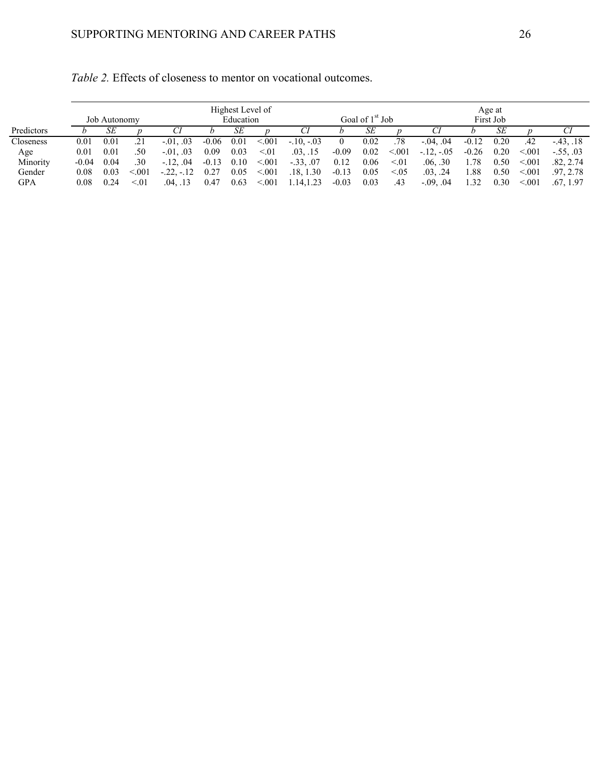|            |         |              |             |                  |         | Highest Level of |         |              |         |                             |        |               |         | Age at    |          |             |
|------------|---------|--------------|-------------|------------------|---------|------------------|---------|--------------|---------|-----------------------------|--------|---------------|---------|-----------|----------|-------------|
|            |         | Job Autonomy |             |                  |         | Education        |         |              |         | Goal of 1 <sup>st</sup> Job |        |               |         | First Job |          |             |
| Predictors |         | SЕ           |             |                  |         | SЕ               |         |              |         | SЕ                          |        |               |         | SЕ        |          |             |
| Closeness  | 0.01    | 0.01         |             | $-0.01$ , $0.03$ | $-0.06$ | 0.01             | < 0.01  | $-.10, -.03$ |         | 0.02                        | .78    | $-0.04, 0.04$ | $-0.12$ | 0.20      | .42      | $-43, .18$  |
| Age        | 0.01    | 0.01         | .50         | $-0.01, 0.03$    | 0.09    | 0.03             | < 01    | .03, .15     | $-0.09$ | 0.02                        | < 0.01 | $-12, -05$    | $-0.26$ | 0.20      | < 0.01   | $-.55, .03$ |
| Minority   | $-0.04$ | 0.04         | .30         | $-.12, .04$      | $-0.13$ | 0.10             | < 0.01  | $-.33, .07$  | 0.12    | 0.06                        | < 01   | .06, .30      | 1.78    | 0.50      | < 0.01   | .82, 2.74   |
| Gender     | 0.08    | 0.03         | < 001       | $-22, -12$       | 0.27    | 0.05             | < 0.001 | .18, 1.30    | $-0.13$ | 0.05                        | < 0.05 | .03, .24      | .88     | 0.50      | < 0.01   | .97.2.78    |
| GPA        | 0.08    | 0.24         | $\leq 0.01$ | .04. .13         | 0.47    | 0.63             | < 0.001 | 1.14, 1.23   | $-0.03$ | 0.03                        | .43    | $-0.09, 0.04$ | 1.32    | 0.30      | ${<}001$ | .67.1.97    |

| <i>Table 2.</i> Effects of closeness to mentor on vocational outcomes. |
|------------------------------------------------------------------------|
|------------------------------------------------------------------------|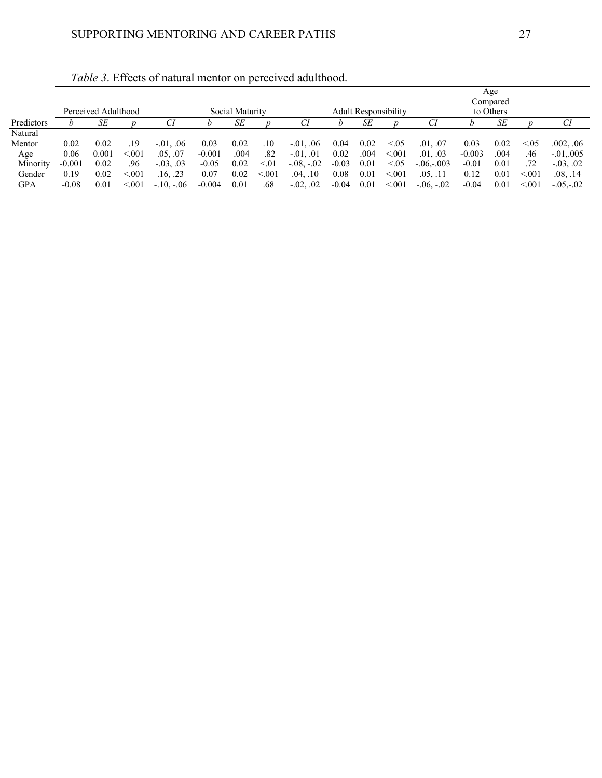|            |          |                     |         |               |          |                 |         |                  |         |      |                             |                |          | Age       |         |               |
|------------|----------|---------------------|---------|---------------|----------|-----------------|---------|------------------|---------|------|-----------------------------|----------------|----------|-----------|---------|---------------|
|            |          |                     |         |               |          |                 |         |                  |         |      |                             |                |          | Compared  |         |               |
|            |          | Perceived Adulthood |         |               |          | Social Maturity |         |                  |         |      | <b>Adult Responsibility</b> |                |          | to Others |         |               |
| Predictors |          | SЕ                  |         | Cl            |          | SЕ              |         |                  |         | SЕ   |                             | CI             |          | SE        |         | Сl            |
| Natural    |          |                     |         |               |          |                 |         |                  |         |      |                             |                |          |           |         |               |
| Mentor     | 0.02     | 0.02                | .19     | $-0.01, 0.06$ | 0.03     | 0.02            | .10     | $-0.01, 0.06$    | 0.04    | 0.02 | < 0.05                      | .01, .07       | 0.03     | 0.02      | ${<}05$ | .002, .06     |
| Age        | 0.06     | 0.001               | < 0.01  | .05, .07      | $-0.001$ | .004            | .82     | $-0.01$ , $0.01$ | 0.02    | .004 | < 0.01                      | .01, .03       | $-0.003$ | .004      | .46     | $-.01, .005$  |
| Minority   | $-0.001$ | 0.02                | .96     | $-.03, .03$   | $-0.05$  | 0.02            | < 01    | $-.08, -.02$     | $-0.03$ | 0.01 | < 0.05                      | $-.06,-.003$   | $-0.01$  | 0.01      | .72     | $-0.03, 0.02$ |
| Gender     | 0.19     | 0.02                | < 0.001 | .16, .23      | 0.07     | 0.02            | < 0.001 | .04, .10         | 0.08    | 0.01 | < 0.01                      | .05, .11       | 0.12     | 0.01      | < 0.01  | .08, .14      |
| <b>GPA</b> | $-0.08$  | 0.01                | < 0.001 | $-10, -06$    | $-0.004$ | 0.01            | .68     | $-0.02, 0.02$    | $-0.04$ | 0.01 | < 0.01                      | $-0.06, -0.02$ | $-0.04$  | 0.01      | < 0.01  | $-.05-.02$    |

*Table 3*. Effects of natural mentor on perceived adulthood.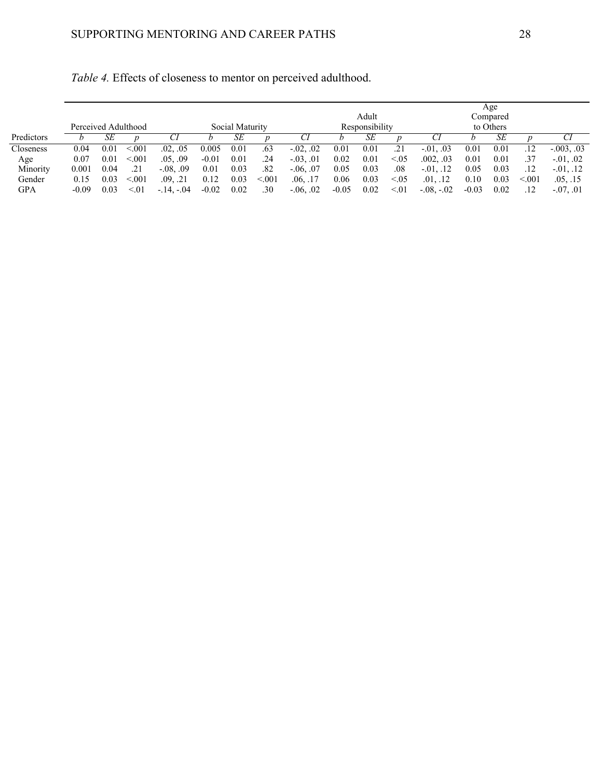|            |         |      |                     |               |         |                 |        |               |         |                |          |                  |         | Age       |        |                  |
|------------|---------|------|---------------------|---------------|---------|-----------------|--------|---------------|---------|----------------|----------|------------------|---------|-----------|--------|------------------|
|            |         |      |                     |               |         |                 |        |               |         | Adult          |          |                  |         | Compared  |        |                  |
|            |         |      | Perceived Adulthood |               |         | Social Maturity |        |               |         | Responsibility |          |                  |         | to Others |        |                  |
| Predictors |         | SЕ   |                     |               |         | SЕ              |        |               |         | SЕ             |          |                  |         | SЕ        |        |                  |
| Closeness  | 0.04    | 0.01 | < 0.01              | .02, .05      | 0.005   | 0.01            | .63    | $-0.02, 0.02$ | 0.01    | 0.01           | .21      | $-0.01$ , $0.03$ | 0.01    | 0.01      | .12    | $-.003, .03$     |
| Age        | 0.07    | 0.01 | < 0.01              | .05, .09      | $-0.01$ | 0.01            | .24    | $-0.03, 0.01$ | 0.02    | 0.01           | < 0.05   | .002, .03        | 0.01    | 0.01      | .37    | $-0.01$ , $0.02$ |
| Minority   | 0.001   | 0.04 | .21                 | $-0.08, 0.09$ | 0.01    | 0.03            | .82    | $-0.06, 0.07$ | 0.05    | 0.03           | $_{.08}$ | $-01, .12$       | 0.05    | 0.03      | .12    | $-0.01, 0.12$    |
| Gender     | 0.15    | 0.03 | < 0.01              | .21<br>.09.   | 0.12    | 0.03            | < 0.01 | .06, .17      | 0.06    | 0.03           | < 0.05   | .01, .12         | 0.10    | 0.03      | < 0.01 | .05, .15         |
| GPA        | $-0.09$ | 0.03 | < 01                | $-.14, -.04$  | $-0.02$ | 0.02            | .30    | $-0.06, 0.02$ | $-0.05$ | 0.02           | < 01     | $-.08, -.02$     | $-0.03$ | 0.02      |        | $-0.07, 0.01$    |

*Table 4.* Effects of closeness to mentor on perceived adulthood.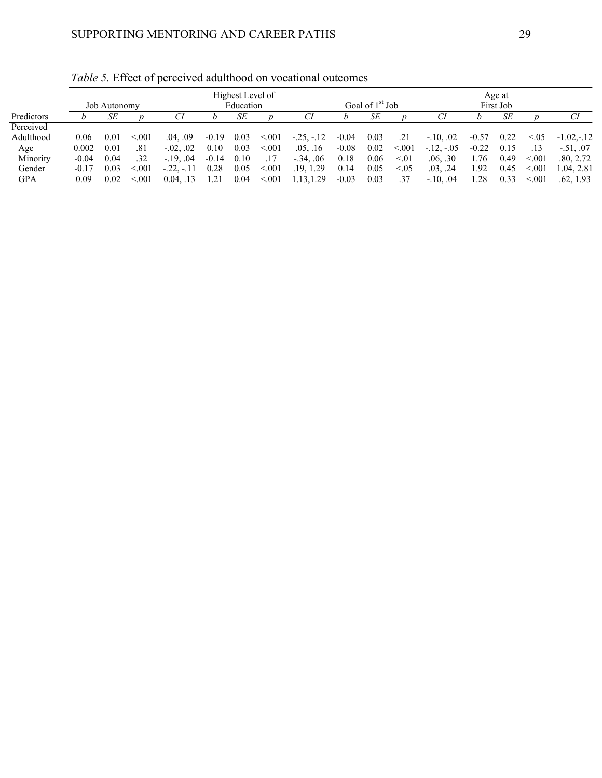|            |         |              |        |               | Highest Level of<br>Goal of 1 <sup>st</sup> Job<br>Education |      |        |              |         |      |        |            | Age at  |           |        |              |  |  |
|------------|---------|--------------|--------|---------------|--------------------------------------------------------------|------|--------|--------------|---------|------|--------|------------|---------|-----------|--------|--------------|--|--|
|            |         | Job Autonomy |        |               |                                                              |      |        |              |         |      |        |            |         | First Job |        |              |  |  |
| Predictors |         | SЕ           |        |               |                                                              | SЕ   |        | Сl           |         | SЕ   |        |            |         | SE        |        |              |  |  |
| Perceived  |         |              |        |               |                                                              |      |        |              |         |      |        |            |         |           |        |              |  |  |
| Adulthood  | 0.06    | 0.01         | < 0.01 | .04, .09      | $-0.19$                                                      | 0.03 | < 0.01 | $-.25, -.12$ | $-0.04$ | 0.03 | .21    | $-10, .02$ | $-0.57$ | 0.22      | < 0.05 | $-1.02 - 12$ |  |  |
| Age        | 0.002   | 0.01         | .81    | $-0.02, 0.02$ | 0.10                                                         | 0.03 | < 0.01 | .05, .16     | $-0.08$ | 0.02 | < 0.01 | $-12, -05$ | $-0.22$ | 0.15      | .13    | $-.51, .07$  |  |  |
| Minority   | $-0.04$ | 0.04         | .32    | $-19.04$      | $-0.14$                                                      | 0.10 | .17    | $-.34, .06$  | 0.18    | 0.06 | < 01   | .06, .30   | 1.76    | 0.49      | < 0.01 | .80, 2.72    |  |  |
| Gender     | $-0.17$ | 0.03         | < 0.01 | $-.22.-.11$   | 0.28                                                         | 0.05 | < 0.01 | .19, 1.29    | 0.14    | 0.05 | < 0.05 | .03, .24   | . 92    | 0.45      | < 0.01 | 1.04, 2.81   |  |  |
| <b>GPA</b> | 0.09    | 0.02         | < 0.01 | $0.04.$ .13   | 1.21                                                         | 0.04 | < 0.01 | 1.13, 1.29   | $-0.03$ | 0.03 | .37    | $-10, .04$ | 1.28    | 0.33      | < 0.01 | .62, 1.93    |  |  |

*Table 5.* Effect of perceived adulthood on vocational outcomes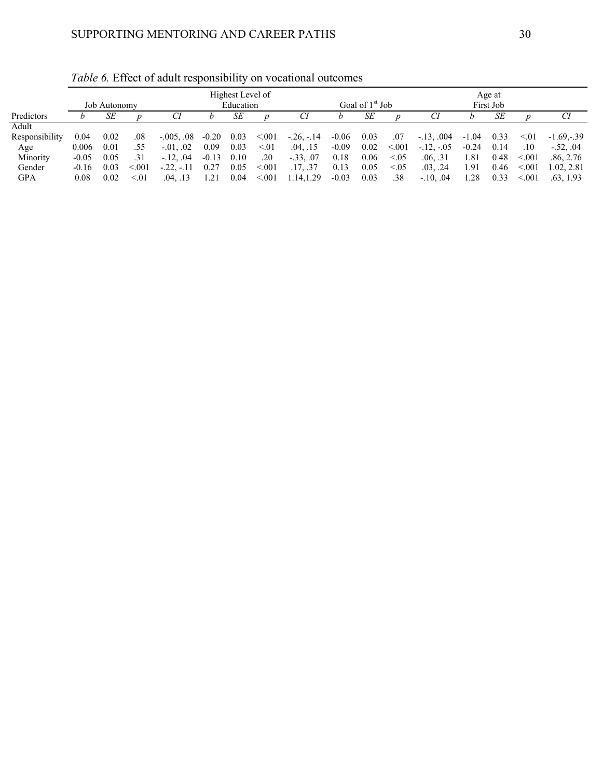|                |         |              |        |                  |         | Highest Level of |        |             |         | Age at                      |        |              |         |           |        |              |
|----------------|---------|--------------|--------|------------------|---------|------------------|--------|-------------|---------|-----------------------------|--------|--------------|---------|-----------|--------|--------------|
|                |         | Job Autonomy |        |                  |         | Education        |        |             |         | Goal of 1 <sup>st</sup> Job |        |              |         | First Job |        |              |
| Predictors     |         | SЕ           |        |                  |         | SЕ               |        | СÌ          |         | SЕ                          |        |              |         | SЕ        |        |              |
| Adult          |         |              |        |                  |         |                  |        |             |         |                             |        |              |         |           |        |              |
| Responsibility | 0.04    | 0.02         | .08    | $-.005, .08$     | $-0.20$ | 0.03             | < 0.01 | $-26, -14$  | $-0.06$ | 0.03                        | .07    | $-.13, .004$ | $-1.04$ | 0.33      | < 01   | $-1.69 - 39$ |
| Age            | 0.006   | 0.01         | .55    | $-0.01$ , $0.02$ | 0.09    | 0.03             | < 01   | .04, .15    | $-0.09$ | 0.02                        | < 0.01 | $-12, -05$   | $-0.24$ | 0.14      | .10    | $-.52, .04$  |
| Minority       | $-0.05$ | 0.05         | .31    | $-.12, .04$      | $-0.13$ | 0.10             | .20    | $-.33, .07$ | 0.18    | 0.06                        | < 0.05 | .06, .31     | 1.81    | 0.48      | < 0.01 | .86.2.76     |
| Gender         | $-0.16$ | 0.03         | < 0.01 | $-.22.-.11$      | 0.27    | 0.05             | < 001  | .17, .37    | 0.13    | 0.05                        | < 0.05 | .03, .24     | . 91.   | 0.46      | < 0.01 | 1.02, 2.81   |
| GPA            | 0.08    | 0.02         | < 01   | .04. .13         | . 21    | 0.04             | < 001  | 1.14, 1.29  | $-0.03$ | 0.03                        | .38    | $-.10, .04$  | 1.28    | 0.33      | < 0.01 | .63. 1.93    |

*Table 6.* Effect of adult responsibility on vocational outcomes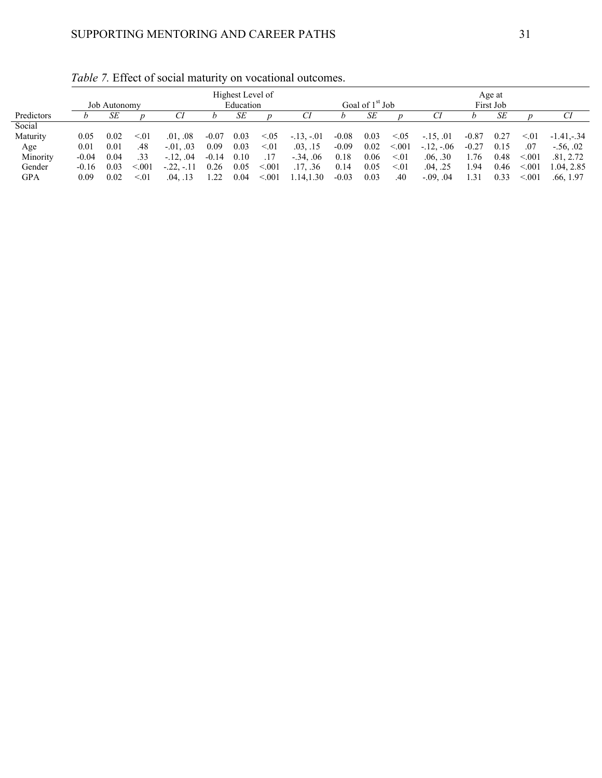|            |         |              |         |                  |         | Highest Level of |       |             | Age at  |                   |        |               |           |      |           |              |  |
|------------|---------|--------------|---------|------------------|---------|------------------|-------|-------------|---------|-------------------|--------|---------------|-----------|------|-----------|--------------|--|
|            |         | Job Autonomy |         |                  |         | Education        |       |             |         | Goal of $1st$ Job |        |               | First Job |      |           |              |  |
| Predictors |         | SЕ           |         |                  |         | SЕ               |       | СI          |         | SЕ                |        |               |           | SЕ   |           |              |  |
| Social     |         |              |         |                  |         |                  |       |             |         |                   |        |               |           |      |           |              |  |
| Maturity   | 0.05    | 0.02         | < 01    | .01, .08         | $-0.07$ | 0.03             | 0.05  | $-13, -01$  | $-0.08$ | 0.03              | < 0.05 | $-.15, .01$   | $-0.87$   | 0.27 | $\leq 01$ | $-1.41 - 34$ |  |
| Age        | 0.01    | 0.01         | .48     | $-0.01$ , $0.03$ | 0.09    | 0.03             | < 01  | .03, .15    | $-0.09$ | 0.02              | < 0.01 | $-12, -06$    | $-0.27$   | 0.15 | .07       | $-.56.02$    |  |
| Minority   | $-0.04$ | 0.04         | .33     | $-.12, .04$      | $-0.14$ | 0.10             | .17   | $-.34, .06$ | 0.18    | 0.06              | < 01   | .06, .30      | 1.76      | 0.48 | < 0.01    | .81, 2.72    |  |
| Gender     | $-0.16$ | 0.03         | < 0.001 | $-.22, -.11$     | 0.26    | 0.05             | < 001 | .17. .36    | 0.14    | 0.05              | < 01   | .04, .25      | ۔ 94      | 0.46 | < 0.01    | 1.04, 2.85   |  |
| <b>GPA</b> | 0.09    | 0.02         | < 01    | .04. .13         | .22     | 0.04             | < 001 | 1.14,1.30   | $-0.03$ | 0.03              | .40    | $-0.09, 0.04$ | .31       | 0.33 | < 0.01    | .66, 1.97    |  |

*Table 7.* Effect of social maturity on vocational outcomes.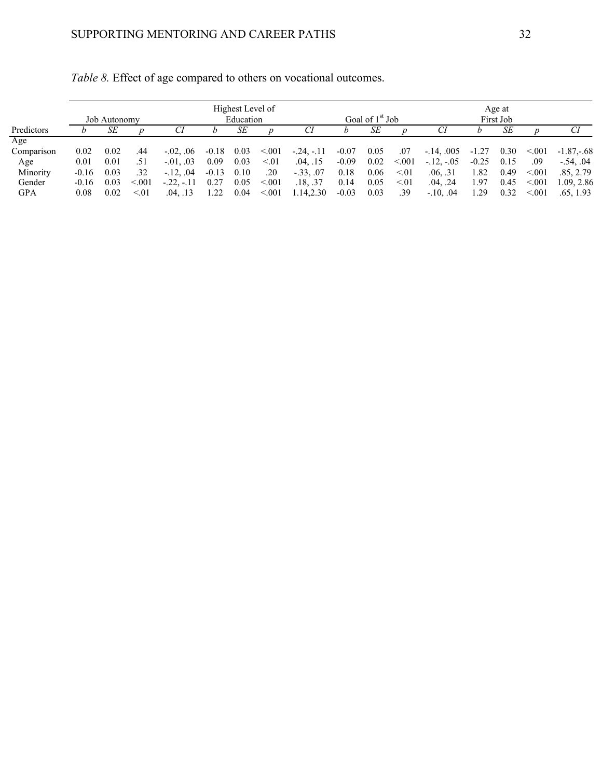|            | Highest Level of<br>Education<br>Job Autonomy |      |        |               |         |      |        |              |         |                             |             |                     |         | Age at<br>First Job |        |             |  |  |  |  |  |
|------------|-----------------------------------------------|------|--------|---------------|---------|------|--------|--------------|---------|-----------------------------|-------------|---------------------|---------|---------------------|--------|-------------|--|--|--|--|--|
|            |                                               |      |        |               |         |      |        |              |         | Goal of 1 <sup>st</sup> Job |             |                     |         |                     |        |             |  |  |  |  |  |
| Predictors |                                               | SЕ   |        |               |         | SЕ   |        | Сl           |         | SЕ                          |             |                     |         | SЕ                  |        | CI.         |  |  |  |  |  |
| Age        |                                               |      |        |               |         |      |        |              |         |                             |             |                     |         |                     |        |             |  |  |  |  |  |
| Comparison | 0.02                                          | 0.02 | .44    | $-0.02, 0.06$ | $-0.18$ | 0.03 | < 0.01 | $-.24, -.11$ | $-0.07$ | 0.05                        | .07         | $-14, .005$ $-1.27$ |         | 0.30                | < 0.01 | $-1.87,-68$ |  |  |  |  |  |
| Age        | 0.01                                          | 0.01 | .51    | $-0.03$       | 0.09    | 0.03 | < 01   | .04, .15     | $-0.09$ | 0.02                        | < 0.01      | $-12, -05$          | $-0.25$ | 0.15                | .09    | $-.54, .04$ |  |  |  |  |  |
| Minority   | $-0.16$                                       | 0.03 | .32    | $-.12, .04$   | $-0.13$ | 0.10 | .20    | $-.33, .07$  | 0.18    | 0.06                        | $\leq 0.01$ | .06, .31            | 1.82    | 0.49                | < 0.01 | .85, 2.79   |  |  |  |  |  |
| Gender     | $-0.16$                                       | 0.03 | < 0.01 | $-.22, -.11$  | 0.27    | 0.05 | < 001  | .18, .37     | 0.14    | 0.05                        | < 01        | .04, .24            | 1.97    | 0.45                | < 0.01 | 1.09, 2.86  |  |  |  |  |  |
| GPA        | 0.08                                          | 0.02 | < 01   | .04, .13      | 1.22    | 0.04 | < 001  | .14, 2.30    | $-0.03$ | 0.03                        | .39         | $-.10, .04$         | 1.29    | 0.32                | < 0.01 | .65, 1.93   |  |  |  |  |  |

| Table 8. Effect of age compared to others on vocational outcomes. |  |
|-------------------------------------------------------------------|--|
|-------------------------------------------------------------------|--|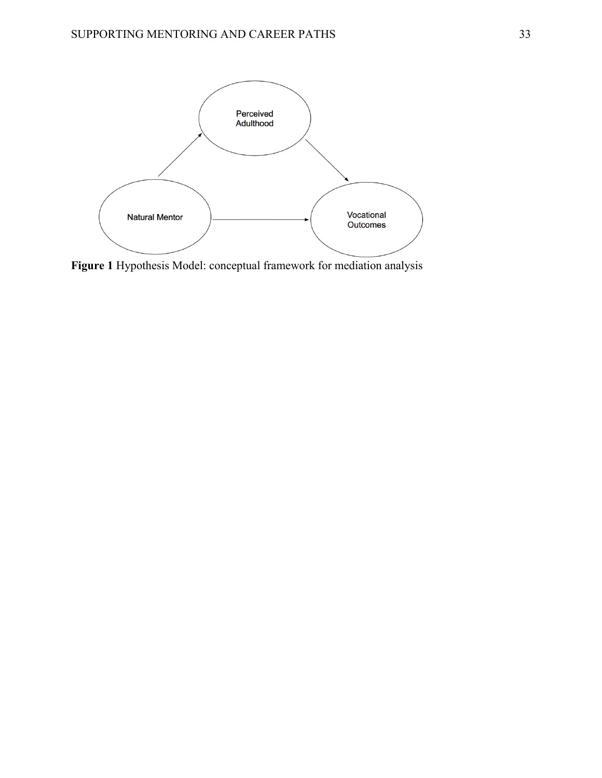

**Figure 1** Hypothesis Model: conceptual framework for mediation analysis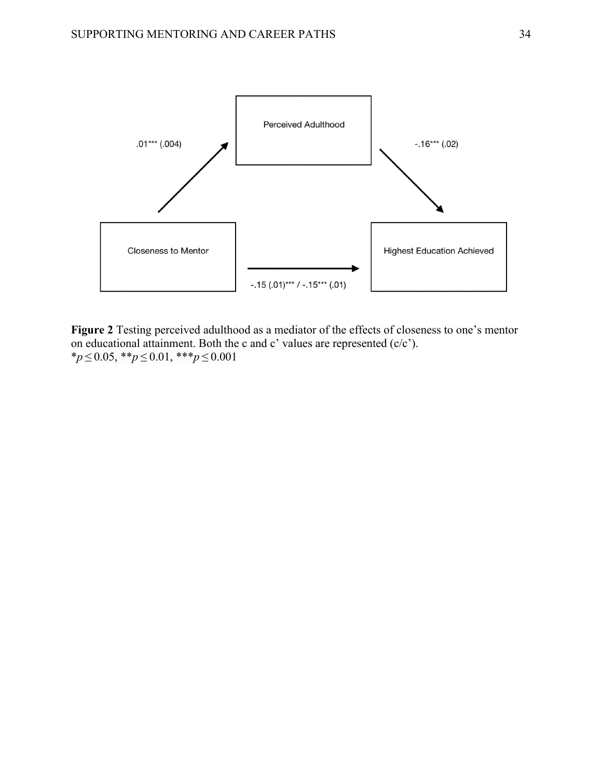

**Figure 2** Testing perceived adulthood as a mediator of the effects of closeness to one's mentor on educational attainment. Both the c and c' values are represented  $(c/c')$ . \**p* ≤ 0.05, \*\**p* ≤ 0.01, \*\*\**p* ≤ 0.001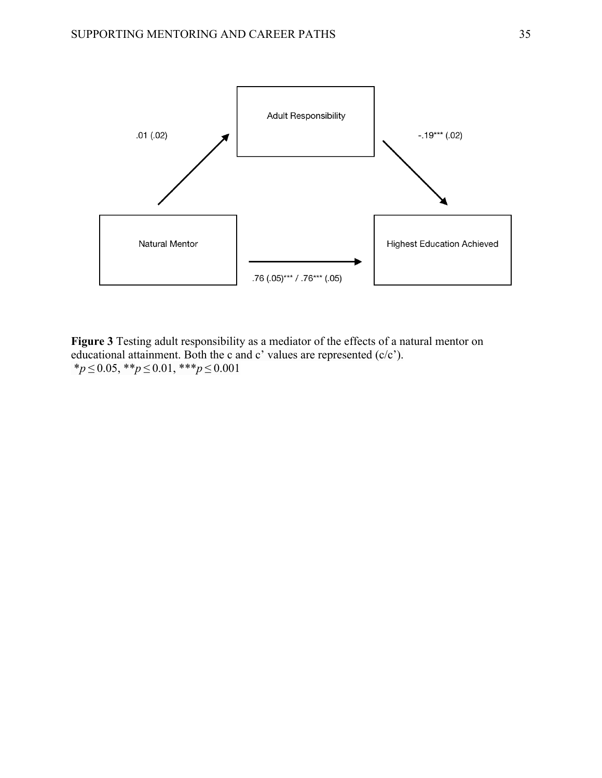

**Figure 3** Testing adult responsibility as a mediator of the effects of a natural mentor on educational attainment. Both the c and c' values are represented (c/c'). \**p* ≤ 0.05, \*\**p* ≤ 0.01, \*\*\**p* ≤ 0.001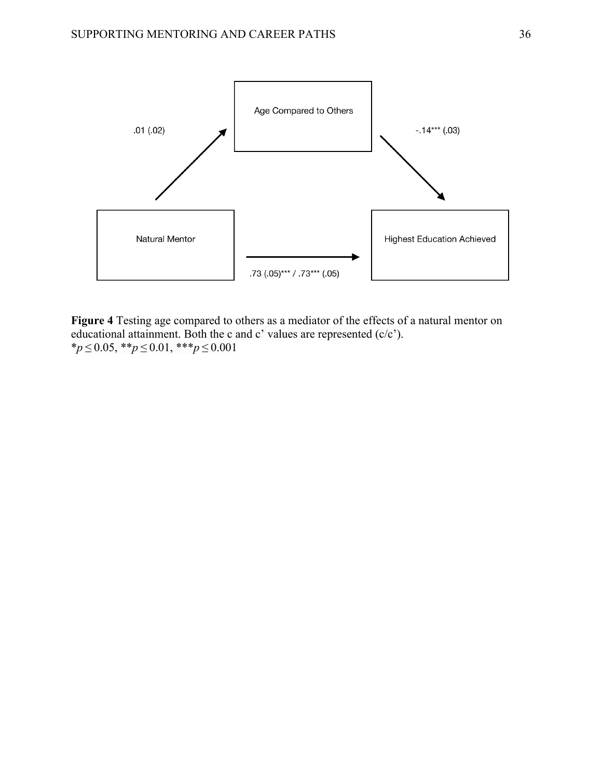

**Figure 4** Testing age compared to others as a mediator of the effects of a natural mentor on educational attainment. Both the c and c' values are represented (c/c'). \**p* ≤ 0.05, \*\**p* ≤ 0.01, \*\*\**p* ≤ 0.001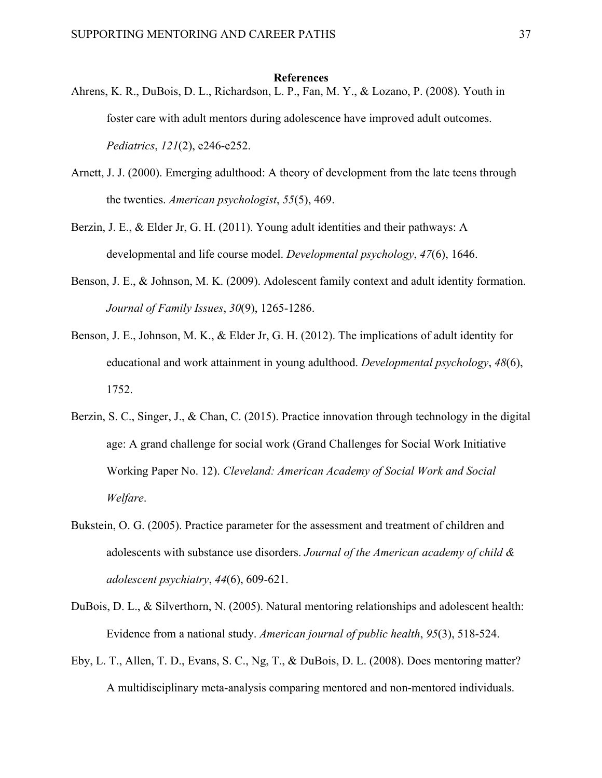#### **References**

- Ahrens, K. R., DuBois, D. L., Richardson, L. P., Fan, M. Y., & Lozano, P. (2008). Youth in foster care with adult mentors during adolescence have improved adult outcomes. *Pediatrics*, *121*(2), e246-e252.
- Arnett, J. J. (2000). Emerging adulthood: A theory of development from the late teens through the twenties. *American psychologist*, *55*(5), 469.
- Berzin, J. E., & Elder Jr, G. H. (2011). Young adult identities and their pathways: A developmental and life course model. *Developmental psychology*, *47*(6), 1646.
- Benson, J. E., & Johnson, M. K. (2009). Adolescent family context and adult identity formation. *Journal of Family Issues*, *30*(9), 1265-1286.
- Benson, J. E., Johnson, M. K., & Elder Jr, G. H. (2012). The implications of adult identity for educational and work attainment in young adulthood. *Developmental psychology*, *48*(6), 1752.
- Berzin, S. C., Singer, J., & Chan, C. (2015). Practice innovation through technology in the digital age: A grand challenge for social work (Grand Challenges for Social Work Initiative Working Paper No. 12). *Cleveland: American Academy of Social Work and Social Welfare*.
- Bukstein, O. G. (2005). Practice parameter for the assessment and treatment of children and adolescents with substance use disorders. *Journal of the American academy of child & adolescent psychiatry*, *44*(6), 609-621.
- DuBois, D. L., & Silverthorn, N. (2005). Natural mentoring relationships and adolescent health: Evidence from a national study. *American journal of public health*, *95*(3), 518-524.
- Eby, L. T., Allen, T. D., Evans, S. C., Ng, T., & DuBois, D. L. (2008). Does mentoring matter? A multidisciplinary meta-analysis comparing mentored and non-mentored individuals.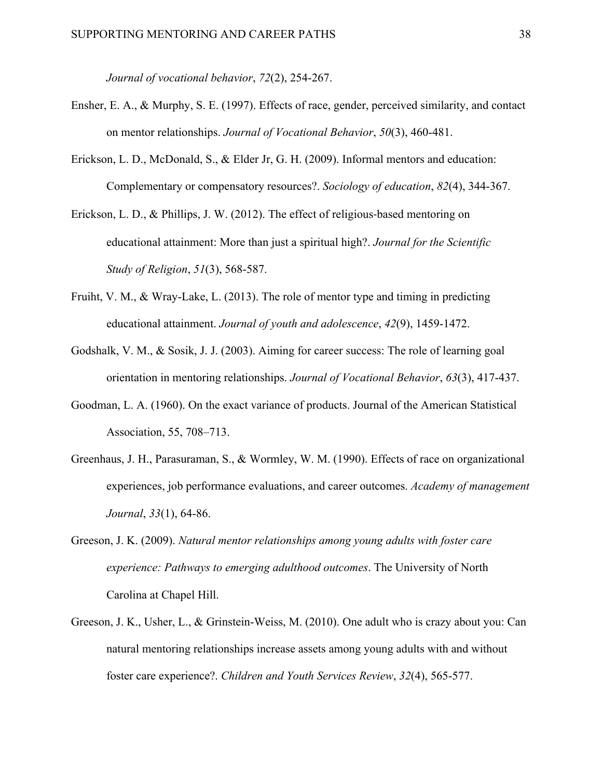*Journal of vocational behavior*, *72*(2), 254-267.

- Ensher, E. A., & Murphy, S. E. (1997). Effects of race, gender, perceived similarity, and contact on mentor relationships. *Journal of Vocational Behavior*, *50*(3), 460-481.
- Erickson, L. D., McDonald, S., & Elder Jr, G. H. (2009). Informal mentors and education: Complementary or compensatory resources?. *Sociology of education*, *82*(4), 344-367.
- Erickson, L. D., & Phillips, J. W. (2012). The effect of religious-based mentoring on educational attainment: More than just a spiritual high?. *Journal for the Scientific Study of Religion*, *51*(3), 568-587.
- Fruiht, V. M., & Wray-Lake, L. (2013). The role of mentor type and timing in predicting educational attainment. *Journal of youth and adolescence*, *42*(9), 1459-1472.
- Godshalk, V. M., & Sosik, J. J. (2003). Aiming for career success: The role of learning goal orientation in mentoring relationships. *Journal of Vocational Behavior*, *63*(3), 417-437.
- Goodman, L. A. (1960). On the exact variance of products. Journal of the American Statistical Association, 55, 708–713.
- Greenhaus, J. H., Parasuraman, S., & Wormley, W. M. (1990). Effects of race on organizational experiences, job performance evaluations, and career outcomes. *Academy of management Journal*, *33*(1), 64-86.
- Greeson, J. K. (2009). *Natural mentor relationships among young adults with foster care experience: Pathways to emerging adulthood outcomes*. The University of North Carolina at Chapel Hill.
- Greeson, J. K., Usher, L., & Grinstein-Weiss, M. (2010). One adult who is crazy about you: Can natural mentoring relationships increase assets among young adults with and without foster care experience?. *Children and Youth Services Review*, *32*(4), 565-577.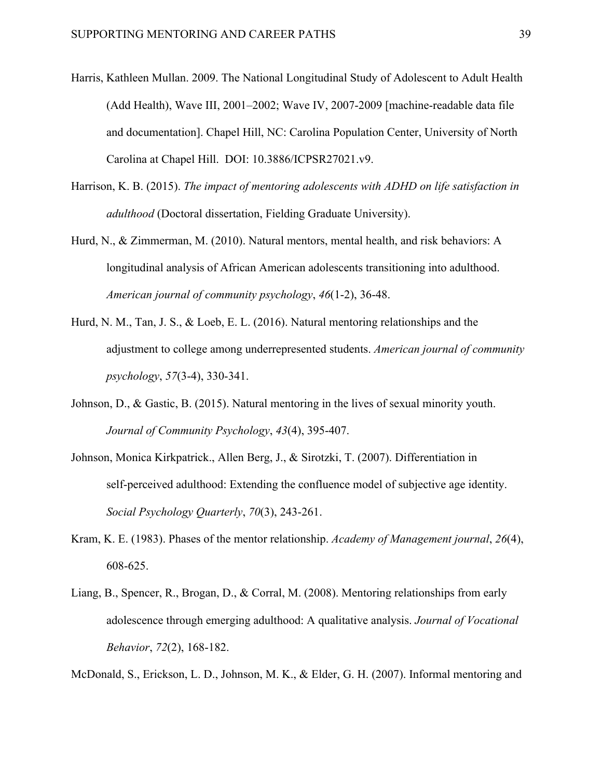- Harris, Kathleen Mullan. 2009. The National Longitudinal Study of Adolescent to Adult Health (Add Health), Wave III, 2001–2002; Wave IV, 2007-2009 [machine-readable data file and documentation]. Chapel Hill, NC: Carolina Population Center, University of North Carolina at Chapel Hill. DOI: 10.3886/ICPSR27021.v9.
- Harrison, K. B. (2015). *The impact of mentoring adolescents with ADHD on life satisfaction in adulthood* (Doctoral dissertation, Fielding Graduate University).
- Hurd, N., & Zimmerman, M. (2010). Natural mentors, mental health, and risk behaviors: A longitudinal analysis of African American adolescents transitioning into adulthood. *American journal of community psychology*, *46*(1-2), 36-48.
- Hurd, N. M., Tan, J. S., & Loeb, E. L. (2016). Natural mentoring relationships and the adjustment to college among underrepresented students. *American journal of community psychology*, *57*(3-4), 330-341.
- Johnson, D., & Gastic, B. (2015). Natural mentoring in the lives of sexual minority youth. *Journal of Community Psychology*, *43*(4), 395-407.
- Johnson, Monica Kirkpatrick., Allen Berg, J., & Sirotzki, T. (2007). Differentiation in self-perceived adulthood: Extending the confluence model of subjective age identity. *Social Psychology Quarterly*, *70*(3), 243-261.
- Kram, K. E. (1983). Phases of the mentor relationship. *Academy of Management journal*, *26*(4), 608-625.
- Liang, B., Spencer, R., Brogan, D., & Corral, M. (2008). Mentoring relationships from early adolescence through emerging adulthood: A qualitative analysis. *Journal of Vocational Behavior*, *72*(2), 168-182.

McDonald, S., Erickson, L. D., Johnson, M. K., & Elder, G. H. (2007). Informal mentoring and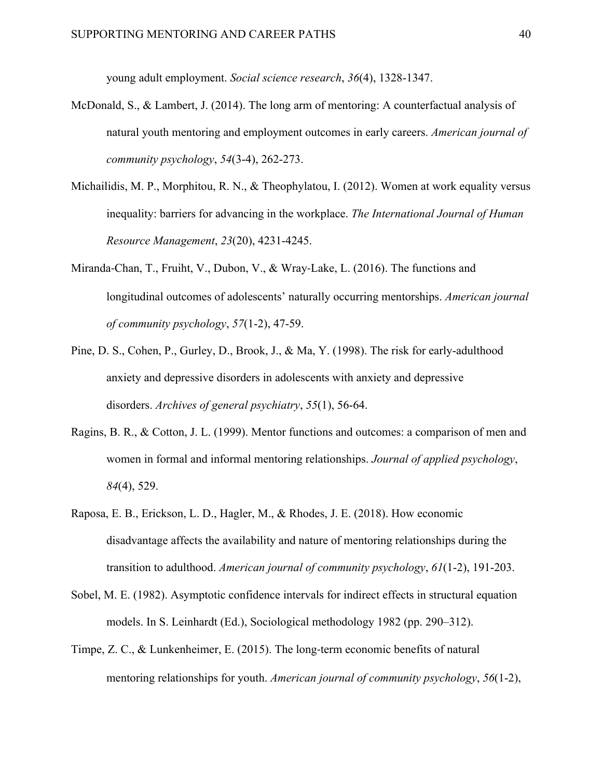young adult employment. *Social science research*, *36*(4), 1328-1347.

- McDonald, S., & Lambert, J. (2014). The long arm of mentoring: A counterfactual analysis of natural youth mentoring and employment outcomes in early careers. *American journal of community psychology*, *54*(3-4), 262-273.
- Michailidis, M. P., Morphitou, R. N., & Theophylatou, I. (2012). Women at work equality versus inequality: barriers for advancing in the workplace. *The International Journal of Human Resource Management*, *23*(20), 4231-4245.
- Miranda-Chan, T., Fruiht, V., Dubon, V., & Wray-Lake, L. (2016). The functions and longitudinal outcomes of adolescents' naturally occurring mentorships. *American journal of community psychology*, *57*(1-2), 47-59.
- Pine, D. S., Cohen, P., Gurley, D., Brook, J., & Ma, Y. (1998). The risk for early-adulthood anxiety and depressive disorders in adolescents with anxiety and depressive disorders. *Archives of general psychiatry*, *55*(1), 56-64.
- Ragins, B. R., & Cotton, J. L. (1999). Mentor functions and outcomes: a comparison of men and women in formal and informal mentoring relationships. *Journal of applied psychology*, *84*(4), 529.
- Raposa, E. B., Erickson, L. D., Hagler, M., & Rhodes, J. E. (2018). How economic disadvantage affects the availability and nature of mentoring relationships during the transition to adulthood. *American journal of community psychology*, *61*(1-2), 191-203.
- Sobel, M. E. (1982). Asymptotic confidence intervals for indirect effects in structural equation models. In S. Leinhardt (Ed.), Sociological methodology 1982 (pp. 290–312).
- Timpe, Z. C., & Lunkenheimer, E. (2015). The long-term economic benefits of natural mentoring relationships for youth. *American journal of community psychology*, *56*(1-2),